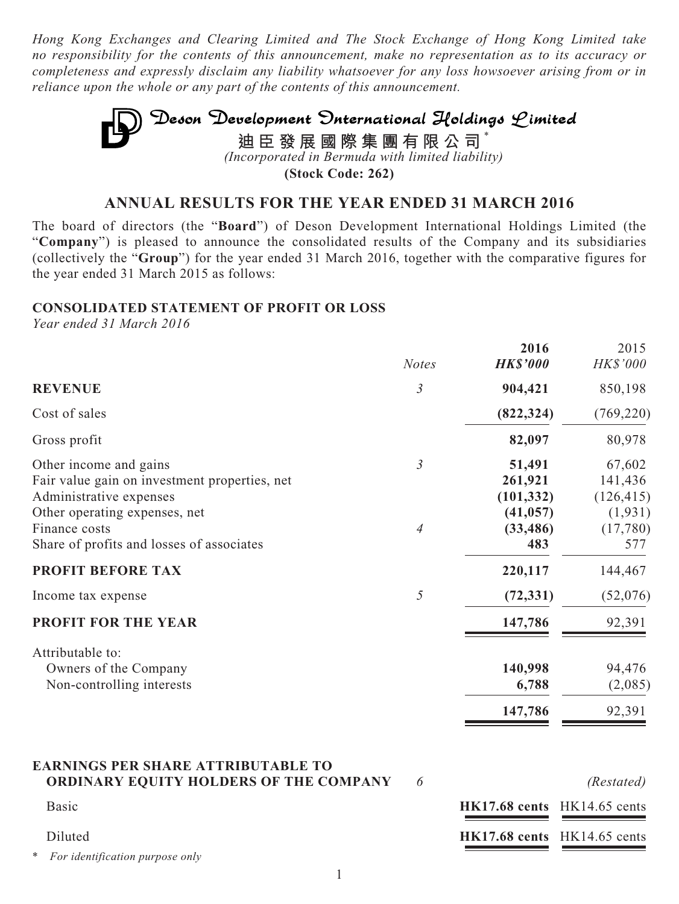*Hong Kong Exchanges and Clearing Limited and The Stock Exchange of Hong Kong Limited take no responsibility for the contents of this announcement, make no representation as to its accuracy or completeness and expressly disclaim any liability whatsoever for any loss howsoever arising from or in reliance upon the whole or any part of the contents of this announcement.*

# Deson Development Onternational Holdings Limited **迪臣發展國際集團有限公司** \* *(Incorporated in Bermuda with limited liability)*

**(Stock Code: 262)**

## **ANNUAL RESULTS FOR THE YEAR ENDED 31 MARCH 2016**

The board of directors (the "**Board**") of Deson Development International Holdings Limited (the "**Company**") is pleased to announce the consolidated results of the Company and its subsidiaries (collectively the "**Group**") for the year ended 31 March 2016, together with the comparative figures for the year ended 31 March 2015 as follows:

#### **CONSOLIDATED STATEMENT OF PROFIT OR LOSS**

*Year ended 31 March 2016*

|                                                                                                                                     | <b>Notes</b>   | 2016<br><b>HK\$'000</b>                      | 2015<br>HK\$'000                            |
|-------------------------------------------------------------------------------------------------------------------------------------|----------------|----------------------------------------------|---------------------------------------------|
| <b>REVENUE</b>                                                                                                                      | $\mathfrak{Z}$ | 904,421                                      | 850,198                                     |
| Cost of sales                                                                                                                       |                | (822, 324)                                   | (769, 220)                                  |
| Gross profit                                                                                                                        |                | 82,097                                       | 80,978                                      |
| Other income and gains<br>Fair value gain on investment properties, net<br>Administrative expenses<br>Other operating expenses, net | $\mathfrak{Z}$ | 51,491<br>261,921<br>(101, 332)<br>(41, 057) | 67,602<br>141,436<br>(126, 415)<br>(1, 931) |
| Finance costs<br>Share of profits and losses of associates<br><b>PROFIT BEFORE TAX</b>                                              | $\overline{4}$ | (33, 486)<br>483<br>220,117                  | (17,780)<br>577<br>144,467                  |
| Income tax expense                                                                                                                  | 5              | (72, 331)                                    | (52,076)                                    |
| <b>PROFIT FOR THE YEAR</b>                                                                                                          |                | 147,786                                      | 92,391                                      |
| Attributable to:<br>Owners of the Company<br>Non-controlling interests                                                              |                | 140,998<br>6,788                             | 94,476<br>(2,085)                           |
|                                                                                                                                     |                | 147,786                                      | 92,391                                      |

#### **EARNINGS PER SHARE ATTRIBUTABLE TO ORDINARY EQUITY HOLDERS OF THE COMPANY 6**

| (Restated) |
|------------|
|------------|

| <b>Basic</b>                      |                                 | $HK17.68$ cents $HK14.65$ cents |
|-----------------------------------|---------------------------------|---------------------------------|
| Diluted                           | $HK17.68$ cents $HK14.65$ cents |                                 |
| * For identification purpose only |                                 |                                 |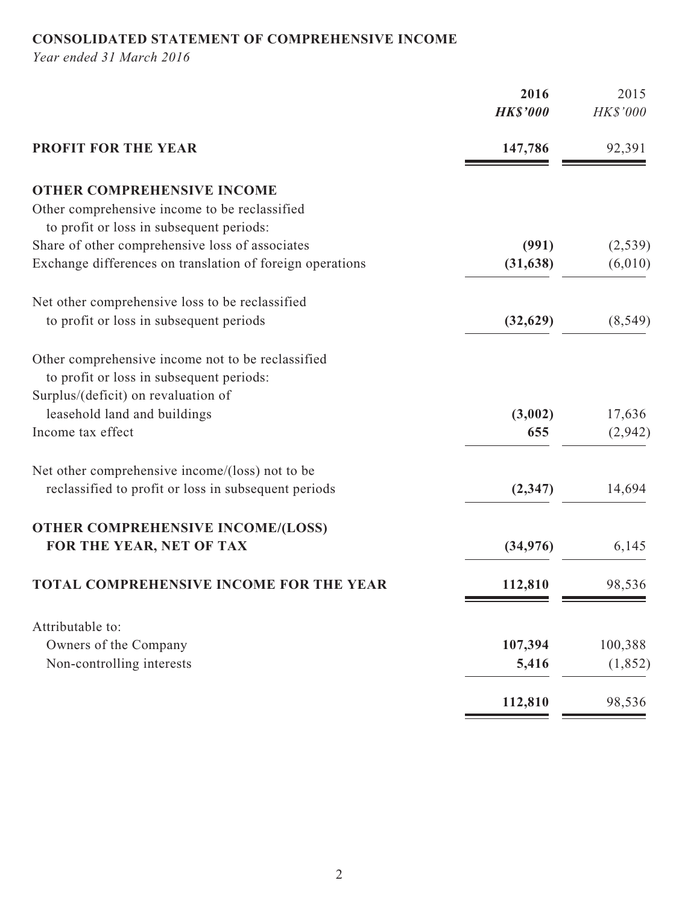## **CONSOLIDATED STATEMENT OF COMPREHENSIVE INCOME**

*Year ended 31 March 2016*

|                                                           | 2016<br><b>HK\$'000</b> | 2015<br>HK\$'000 |
|-----------------------------------------------------------|-------------------------|------------------|
| <b>PROFIT FOR THE YEAR</b>                                | 147,786                 | 92,391           |
| <b>OTHER COMPREHENSIVE INCOME</b>                         |                         |                  |
| Other comprehensive income to be reclassified             |                         |                  |
| to profit or loss in subsequent periods:                  |                         |                  |
| Share of other comprehensive loss of associates           | (991)                   | (2,539)          |
| Exchange differences on translation of foreign operations | (31, 638)               | (6,010)          |
| Net other comprehensive loss to be reclassified           |                         |                  |
| to profit or loss in subsequent periods                   | (32, 629)               | (8, 549)         |
| Other comprehensive income not to be reclassified         |                         |                  |
| to profit or loss in subsequent periods:                  |                         |                  |
| Surplus/(deficit) on revaluation of                       |                         |                  |
| leasehold land and buildings                              | (3,002)                 | 17,636           |
| Income tax effect                                         | 655                     | (2,942)          |
| Net other comprehensive income/(loss) not to be           |                         |                  |
| reclassified to profit or loss in subsequent periods      | (2, 347)                | 14,694           |
| <b>OTHER COMPREHENSIVE INCOME/(LOSS)</b>                  |                         |                  |
| FOR THE YEAR, NET OF TAX                                  | (34,976)                | 6,145            |
| <b>TOTAL COMPREHENSIVE INCOME FOR THE YEAR</b>            | 112,810                 | 98,536           |
| Attributable to:                                          |                         |                  |
| Owners of the Company                                     | 107,394                 | 100,388          |
| Non-controlling interests                                 | 5,416                   | (1, 852)         |
|                                                           | 112,810                 | 98,536           |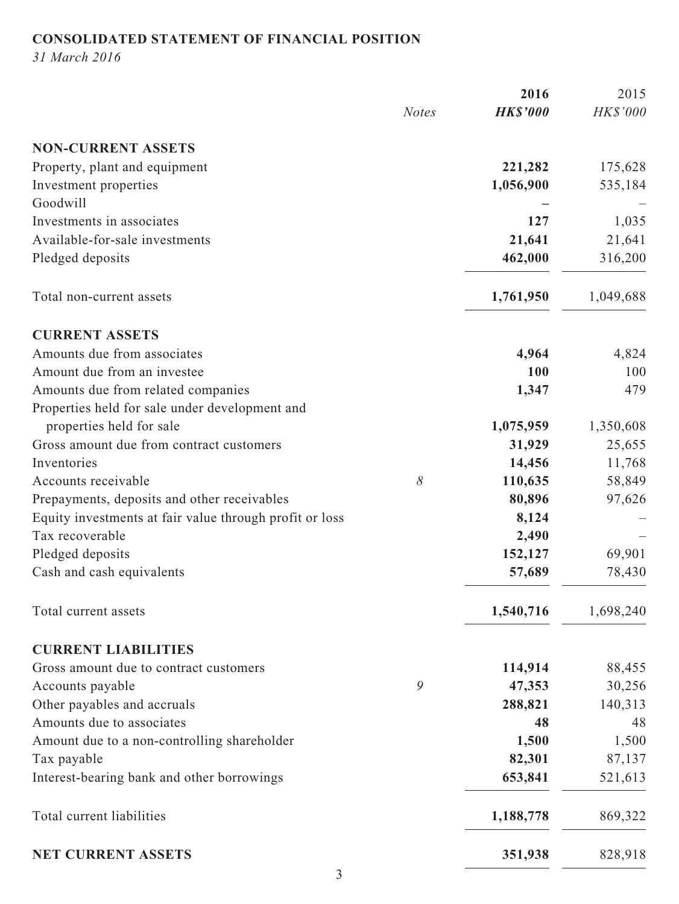## **CONSOLIDATED STATEMENT OF FINANCIAL POSITION**

*31 March 2016*

|                                                         |              | 2016            | 2015      |
|---------------------------------------------------------|--------------|-----------------|-----------|
|                                                         | <b>Notes</b> | <b>HK\$'000</b> | HK\$'000  |
| <b>NON-CURRENT ASSETS</b>                               |              |                 |           |
| Property, plant and equipment                           |              | 221,282         | 175,628   |
| Investment properties                                   |              | 1,056,900       | 535,184   |
| Goodwill                                                |              |                 |           |
| Investments in associates                               |              | 127             | 1,035     |
| Available-for-sale investments                          |              | 21,641          | 21,641    |
| Pledged deposits                                        |              | 462,000         | 316,200   |
| Total non-current assets                                |              | 1,761,950       | 1,049,688 |
| <b>CURRENT ASSETS</b>                                   |              |                 |           |
| Amounts due from associates                             |              | 4,964           | 4,824     |
| Amount due from an investee                             |              | 100             | 100       |
| Amounts due from related companies                      |              | 1,347           | 479       |
| Properties held for sale under development and          |              |                 |           |
| properties held for sale                                |              | 1,075,959       | 1,350,608 |
| Gross amount due from contract customers                |              | 31,929          | 25,655    |
| Inventories                                             |              | 14,456          | 11,768    |
| Accounts receivable                                     | 8            | 110,635         | 58,849    |
| Prepayments, deposits and other receivables             |              | 80,896          | 97,626    |
| Equity investments at fair value through profit or loss |              | 8,124           |           |
| Tax recoverable                                         |              | 2,490           |           |
| Pledged deposits                                        |              | 152,127         | 69,901    |
| Cash and cash equivalents                               |              | 57,689          | 78,430    |
| Total current assets                                    |              | 1,540,716       | 1,698,240 |
| <b>CURRENT LIABILITIES</b>                              |              |                 |           |
| Gross amount due to contract customers                  |              | 114,914         | 88,455    |
| Accounts payable                                        | 9            | 47,353          | 30,256    |
| Other payables and accruals                             |              | 288,821         | 140,313   |
| Amounts due to associates                               |              | 48              | 48        |
| Amount due to a non-controlling shareholder             |              | 1,500           | 1,500     |
| Tax payable                                             |              | 82,301          | 87,137    |
| Interest-bearing bank and other borrowings              |              | 653,841         | 521,613   |
| Total current liabilities                               |              | 1,188,778       | 869,322   |
| NET CURRENT ASSETS                                      |              | 351,938         | 828,918   |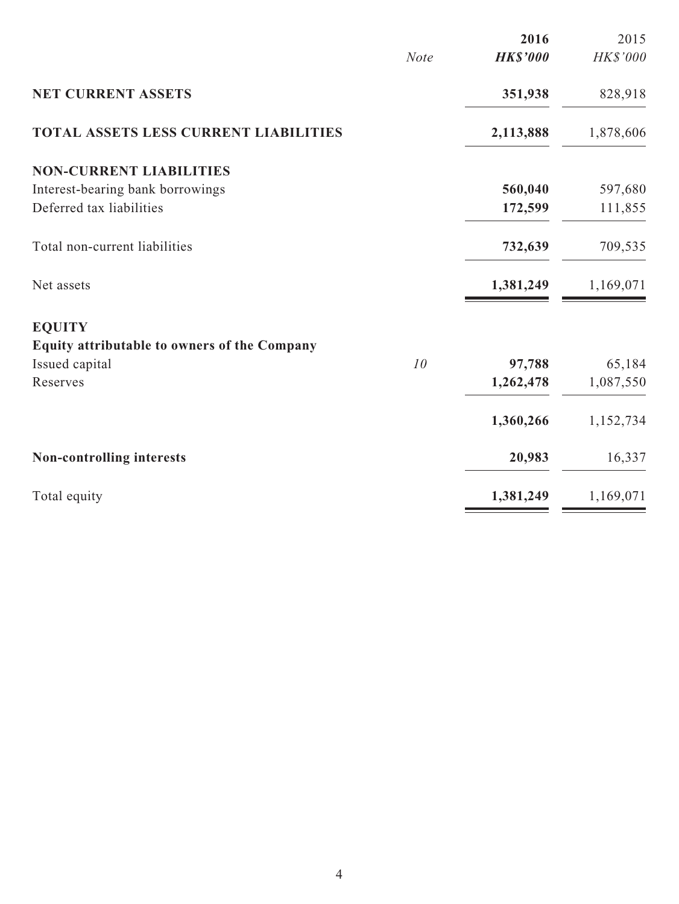|                                                     |             | 2016            | 2015      |
|-----------------------------------------------------|-------------|-----------------|-----------|
|                                                     | <b>Note</b> | <b>HK\$'000</b> | HK\$'000  |
| <b>NET CURRENT ASSETS</b>                           |             | 351,938         | 828,918   |
| <b>TOTAL ASSETS LESS CURRENT LIABILITIES</b>        |             | 2,113,888       | 1,878,606 |
| <b>NON-CURRENT LIABILITIES</b>                      |             |                 |           |
| Interest-bearing bank borrowings                    |             | 560,040         | 597,680   |
| Deferred tax liabilities                            |             | 172,599         | 111,855   |
| Total non-current liabilities                       |             | 732,639         | 709,535   |
| Net assets                                          |             | 1,381,249       | 1,169,071 |
| <b>EQUITY</b>                                       |             |                 |           |
| <b>Equity attributable to owners of the Company</b> |             |                 |           |
| Issued capital                                      | 10          | 97,788          | 65,184    |
| Reserves                                            |             | 1,262,478       | 1,087,550 |
|                                                     |             | 1,360,266       | 1,152,734 |
| Non-controlling interests                           |             | 20,983          | 16,337    |
| Total equity                                        |             | 1,381,249       | 1,169,071 |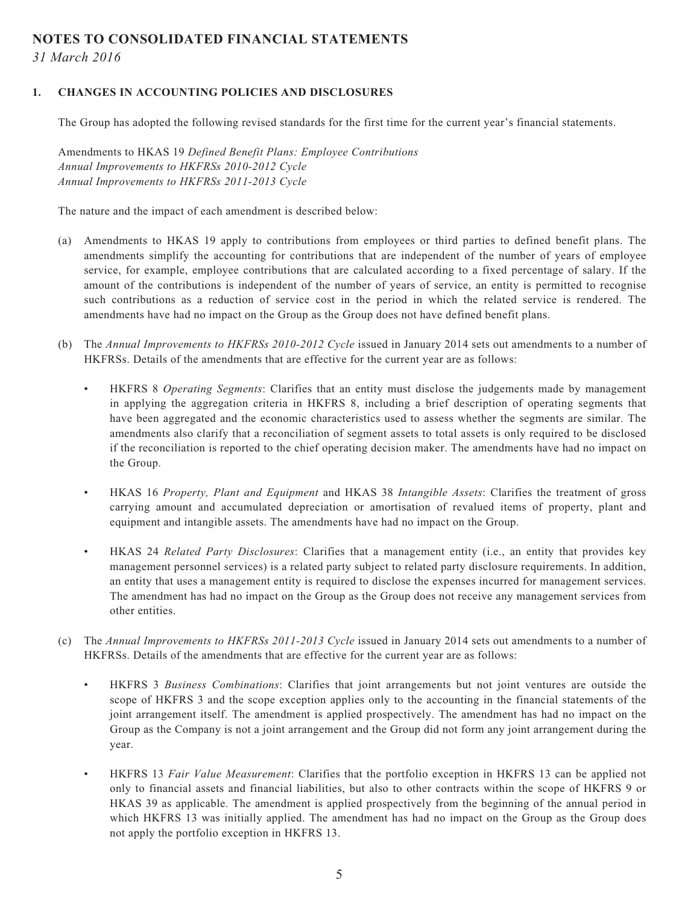#### **NOTES TO CONSOLIDATED FINANCIAL STATEMENTS**

*31 March 2016*

#### **1. CHANGES IN ACCOUNTING POLICIES AND DISCLOSURES**

The Group has adopted the following revised standards for the first time for the current year's financial statements.

Amendments to HKAS 19 *Defined Benefit Plans: Employee Contributions Annual Improvements to HKFRSs 2010-2012 Cycle Annual Improvements to HKFRSs 2011-2013 Cycle*

The nature and the impact of each amendment is described below:

- (a) Amendments to HKAS 19 apply to contributions from employees or third parties to defined benefit plans. The amendments simplify the accounting for contributions that are independent of the number of years of employee service, for example, employee contributions that are calculated according to a fixed percentage of salary. If the amount of the contributions is independent of the number of years of service, an entity is permitted to recognise such contributions as a reduction of service cost in the period in which the related service is rendered. The amendments have had no impact on the Group as the Group does not have defined benefit plans.
- (b) The *Annual Improvements to HKFRSs 2010-2012 Cycle* issued in January 2014 sets out amendments to a number of HKFRSs. Details of the amendments that are effective for the current year are as follows:
	- HKFRS 8 *Operating Segments*: Clarifies that an entity must disclose the judgements made by management in applying the aggregation criteria in HKFRS 8, including a brief description of operating segments that have been aggregated and the economic characteristics used to assess whether the segments are similar. The amendments also clarify that a reconciliation of segment assets to total assets is only required to be disclosed if the reconciliation is reported to the chief operating decision maker. The amendments have had no impact on the Group.
	- HKAS 16 *Property, Plant and Equipment* and HKAS 38 *Intangible Assets*: Clarifies the treatment of gross carrying amount and accumulated depreciation or amortisation of revalued items of property, plant and equipment and intangible assets. The amendments have had no impact on the Group.
	- HKAS 24 *Related Party Disclosures*: Clarifies that a management entity (i.e., an entity that provides key management personnel services) is a related party subject to related party disclosure requirements. In addition, an entity that uses a management entity is required to disclose the expenses incurred for management services. The amendment has had no impact on the Group as the Group does not receive any management services from other entities.
- (c) The *Annual Improvements to HKFRSs 2011-2013 Cycle* issued in January 2014 sets out amendments to a number of HKFRSs. Details of the amendments that are effective for the current year are as follows:
	- HKFRS 3 *Business Combinations*: Clarifies that joint arrangements but not joint ventures are outside the scope of HKFRS 3 and the scope exception applies only to the accounting in the financial statements of the joint arrangement itself. The amendment is applied prospectively. The amendment has had no impact on the Group as the Company is not a joint arrangement and the Group did not form any joint arrangement during the year.
	- HKFRS 13 *Fair Value Measurement*: Clarifies that the portfolio exception in HKFRS 13 can be applied not only to financial assets and financial liabilities, but also to other contracts within the scope of HKFRS 9 or HKAS 39 as applicable. The amendment is applied prospectively from the beginning of the annual period in which HKFRS 13 was initially applied. The amendment has had no impact on the Group as the Group does not apply the portfolio exception in HKFRS 13.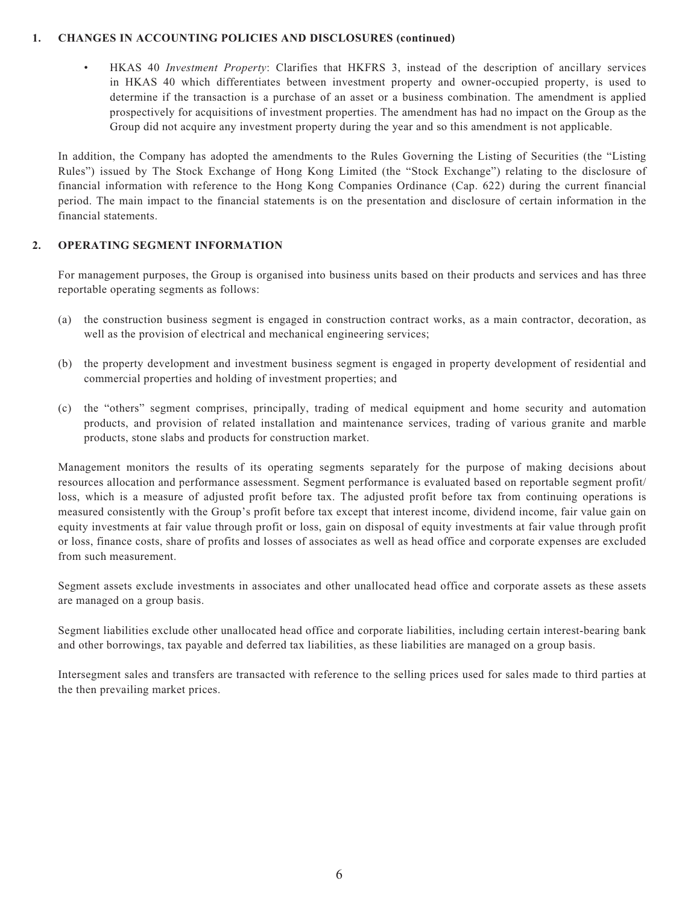#### **1. CHANGES IN ACCOUNTING POLICIES AND DISCLOSURES (continued)**

• HKAS 40 *Investment Property*: Clarifies that HKFRS 3, instead of the description of ancillary services in HKAS 40 which differentiates between investment property and owner-occupied property, is used to determine if the transaction is a purchase of an asset or a business combination. The amendment is applied prospectively for acquisitions of investment properties. The amendment has had no impact on the Group as the Group did not acquire any investment property during the year and so this amendment is not applicable.

In addition, the Company has adopted the amendments to the Rules Governing the Listing of Securities (the "Listing Rules") issued by The Stock Exchange of Hong Kong Limited (the "Stock Exchange") relating to the disclosure of financial information with reference to the Hong Kong Companies Ordinance (Cap. 622) during the current financial period. The main impact to the financial statements is on the presentation and disclosure of certain information in the financial statements.

#### **2. OPERATING SEGMENT INFORMATION**

For management purposes, the Group is organised into business units based on their products and services and has three reportable operating segments as follows:

- (a) the construction business segment is engaged in construction contract works, as a main contractor, decoration, as well as the provision of electrical and mechanical engineering services;
- (b) the property development and investment business segment is engaged in property development of residential and commercial properties and holding of investment properties; and
- (c) the "others" segment comprises, principally, trading of medical equipment and home security and automation products, and provision of related installation and maintenance services, trading of various granite and marble products, stone slabs and products for construction market.

Management monitors the results of its operating segments separately for the purpose of making decisions about resources allocation and performance assessment. Segment performance is evaluated based on reportable segment profit/ loss, which is a measure of adjusted profit before tax. The adjusted profit before tax from continuing operations is measured consistently with the Group's profit before tax except that interest income, dividend income, fair value gain on equity investments at fair value through profit or loss, gain on disposal of equity investments at fair value through profit or loss, finance costs, share of profits and losses of associates as well as head office and corporate expenses are excluded from such measurement.

Segment assets exclude investments in associates and other unallocated head office and corporate assets as these assets are managed on a group basis.

Segment liabilities exclude other unallocated head office and corporate liabilities, including certain interest-bearing bank and other borrowings, tax payable and deferred tax liabilities, as these liabilities are managed on a group basis.

Intersegment sales and transfers are transacted with reference to the selling prices used for sales made to third parties at the then prevailing market prices.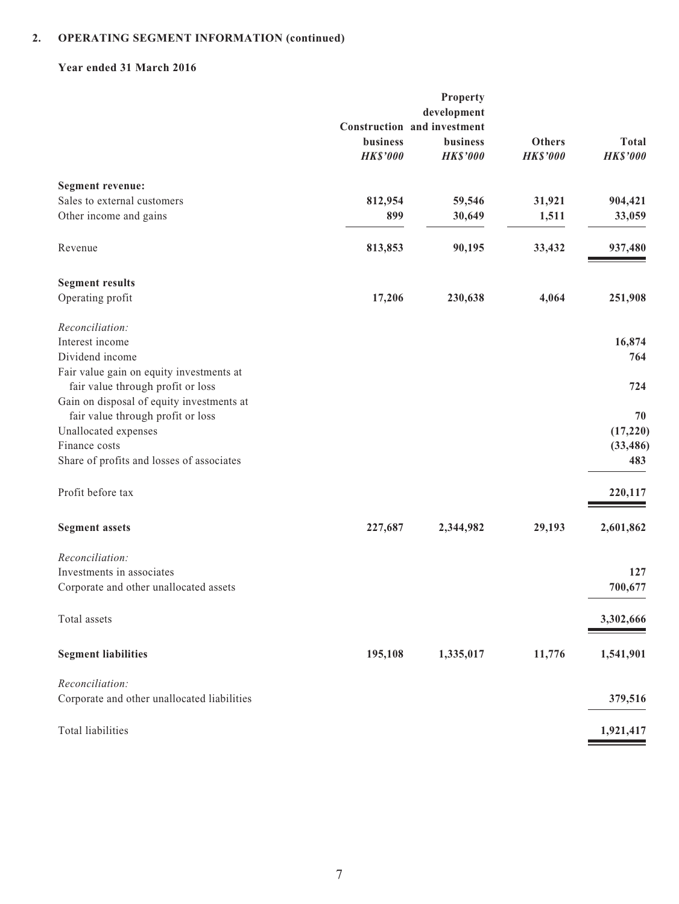#### **Year ended 31 March 2016**

|                                             |                 | Property                                   |                 |                 |
|---------------------------------------------|-----------------|--------------------------------------------|-----------------|-----------------|
|                                             |                 | development<br>Construction and investment |                 |                 |
|                                             | business        | <b>business</b>                            | <b>Others</b>   | <b>Total</b>    |
|                                             | <b>HK\$'000</b> | <b>HK\$'000</b>                            | <b>HK\$'000</b> | <b>HK\$'000</b> |
| <b>Segment revenue:</b>                     |                 |                                            |                 |                 |
| Sales to external customers                 | 812,954         | 59,546                                     | 31,921          | 904,421         |
| Other income and gains                      | 899             | 30,649                                     | 1,511           | 33,059          |
| Revenue                                     | 813,853         | 90,195                                     | 33,432          | 937,480         |
| <b>Segment results</b>                      |                 |                                            |                 |                 |
| Operating profit                            | 17,206          | 230,638                                    | 4,064           | 251,908         |
| Reconciliation:                             |                 |                                            |                 |                 |
| Interest income                             |                 |                                            |                 | 16,874          |
| Dividend income                             |                 |                                            |                 | 764             |
| Fair value gain on equity investments at    |                 |                                            |                 |                 |
| fair value through profit or loss           |                 |                                            |                 | 724             |
| Gain on disposal of equity investments at   |                 |                                            |                 |                 |
| fair value through profit or loss           |                 |                                            |                 | 70              |
| Unallocated expenses                        |                 |                                            |                 | (17, 220)       |
| Finance costs                               |                 |                                            |                 | (33, 486)       |
| Share of profits and losses of associates   |                 |                                            |                 | 483             |
| Profit before tax                           |                 |                                            |                 | 220,117         |
|                                             |                 |                                            |                 |                 |
| <b>Segment assets</b>                       | 227,687         | 2,344,982                                  | 29,193          | 2,601,862       |
| Reconciliation:                             |                 |                                            |                 |                 |
| Investments in associates                   |                 |                                            |                 | 127             |
| Corporate and other unallocated assets      |                 |                                            |                 | 700,677         |
| Total assets                                |                 |                                            |                 | 3,302,666       |
| <b>Segment liabilities</b>                  | 195,108         | 1,335,017                                  | 11,776          | 1,541,901       |
| Reconciliation:                             |                 |                                            |                 |                 |
| Corporate and other unallocated liabilities |                 |                                            |                 | 379,516         |
| Total liabilities                           |                 |                                            |                 | 1,921,417       |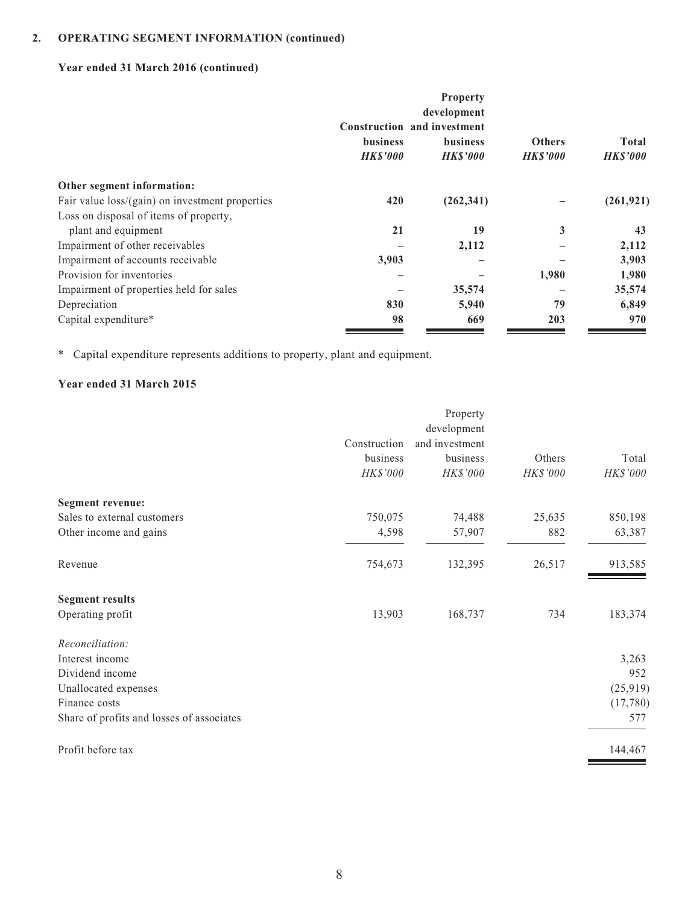## **Year ended 31 March 2016 (continued)**

|                                                 | Construction and investment<br><b>business</b><br><b>HKS'000</b> | <b>Property</b><br>development<br><b>business</b><br><b>HKS'000</b> | <b>Others</b><br><b>HK\$'000</b> | Total<br><b>HK\$'000</b> |
|-------------------------------------------------|------------------------------------------------------------------|---------------------------------------------------------------------|----------------------------------|--------------------------|
| Other segment information:                      |                                                                  |                                                                     |                                  |                          |
| Fair value loss/(gain) on investment properties | 420                                                              | (262, 341)                                                          |                                  | (261, 921)               |
| Loss on disposal of items of property,          |                                                                  |                                                                     |                                  |                          |
| plant and equipment                             | 21                                                               | 19                                                                  | 3                                | 43                       |
| Impairment of other receivables                 |                                                                  | 2,112                                                               |                                  | 2,112                    |
| Impairment of accounts receivable               | 3,903                                                            |                                                                     |                                  | 3,903                    |
| Provision for inventories                       |                                                                  |                                                                     | 1,980                            | 1,980                    |
| Impairment of properties held for sales         |                                                                  | 35,574                                                              |                                  | 35,574                   |
| Depreciation                                    | 830                                                              | 5,940                                                               | 79                               | 6,849                    |
| Capital expenditure*                            | 98                                                               | 669                                                                 | 203                              | 970                      |

\* Capital expenditure represents additions to property, plant and equipment.

#### **Year ended 31 March 2015**

|              | development    |          |          |
|--------------|----------------|----------|----------|
|              |                |          |          |
| Construction | and investment |          |          |
| business     | business       | Others   | Total    |
| HK\$'000     | HK\$'000       | HK\$'000 | HK\$'000 |
|              |                |          |          |
| 750,075      | 74,488         | 25,635   | 850,198  |
| 4,598        | 57,907         | 882      | 63,387   |
| 754,673      | 132,395        | 26,517   | 913,585  |
|              |                |          |          |
| 13,903       | 168,737        | 734      | 183,374  |
|              |                |          |          |
|              |                |          | 3,263    |
|              |                |          | 952      |
|              |                |          | (25,919) |
|              |                |          | (17,780) |
|              |                |          | 577      |
|              |                |          | 144,467  |
|              |                |          |          |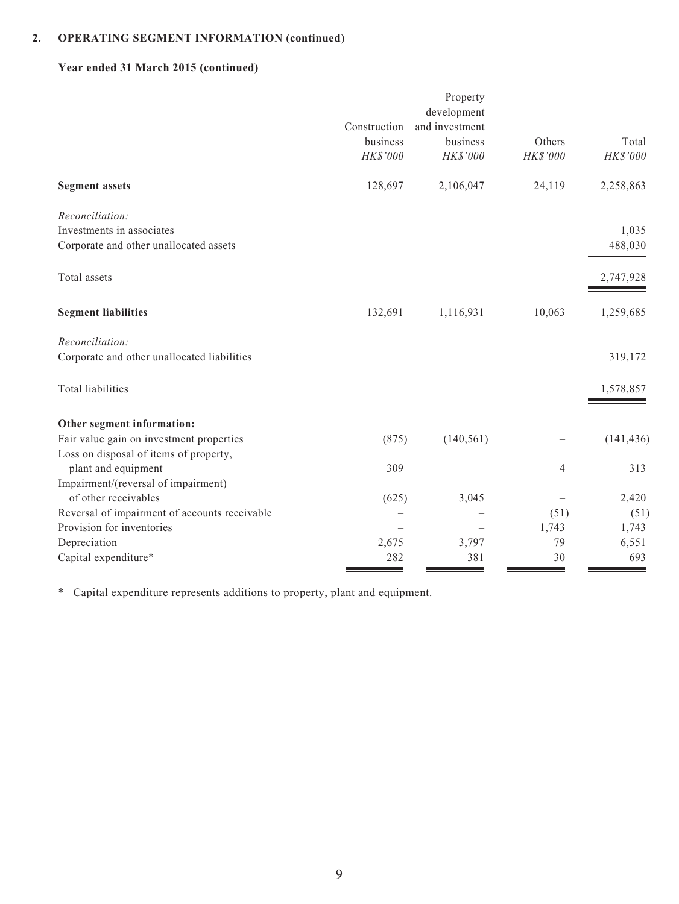## **Year ended 31 March 2015 (continued)**

|                                               |              | Property<br>development |          |            |
|-----------------------------------------------|--------------|-------------------------|----------|------------|
|                                               | Construction | and investment          |          |            |
|                                               | business     | business                | Others   | Total      |
|                                               | HK\$'000     | HK\$'000                | HK\$'000 | HK\$'000   |
| <b>Segment assets</b>                         | 128,697      | 2,106,047               | 24,119   | 2,258,863  |
| Reconciliation:                               |              |                         |          |            |
| Investments in associates                     |              |                         |          | 1,035      |
| Corporate and other unallocated assets        |              |                         |          | 488,030    |
| Total assets                                  |              |                         |          | 2,747,928  |
| <b>Segment liabilities</b>                    | 132,691      | 1,116,931               | 10,063   | 1,259,685  |
| Reconciliation:                               |              |                         |          |            |
| Corporate and other unallocated liabilities   |              |                         |          | 319,172    |
| <b>Total liabilities</b>                      |              |                         |          | 1,578,857  |
| Other segment information:                    |              |                         |          |            |
| Fair value gain on investment properties      | (875)        | (140, 561)              |          | (141, 436) |
| Loss on disposal of items of property,        |              |                         |          |            |
| plant and equipment                           | 309          |                         | 4        | 313        |
| Impairment/(reversal of impairment)           |              |                         |          |            |
| of other receivables                          | (625)        | 3,045                   |          | 2,420      |
| Reversal of impairment of accounts receivable |              |                         | (51)     | (51)       |
| Provision for inventories                     |              |                         | 1,743    | 1,743      |
| Depreciation                                  | 2,675        | 3,797                   | 79       | 6,551      |
| Capital expenditure*                          | 282          | 381                     | 30       | 693        |

\* Capital expenditure represents additions to property, plant and equipment.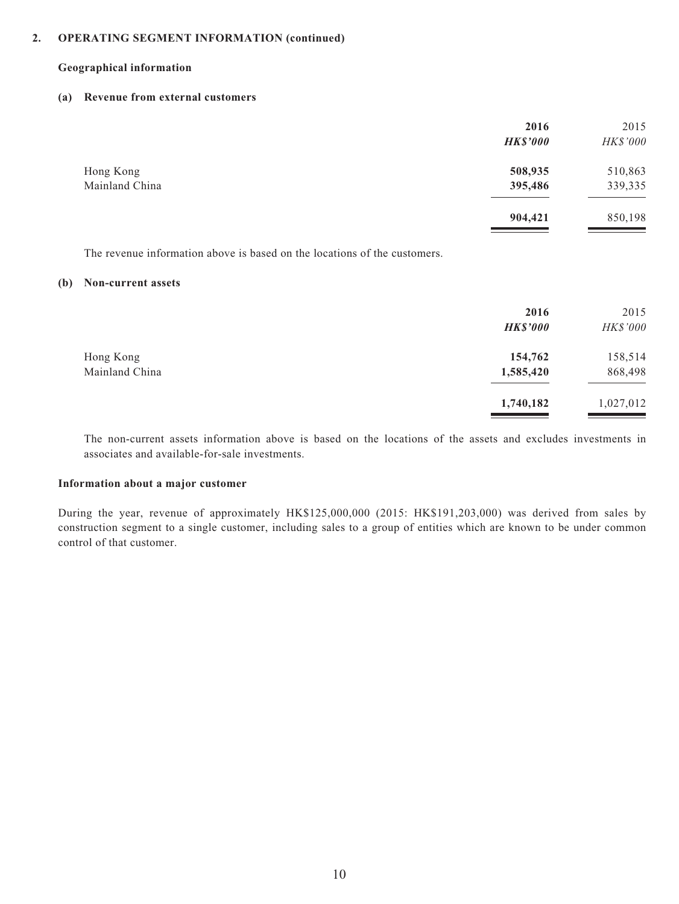#### **Geographical information**

#### **(a) Revenue from external customers**

|                             | 2016<br><b>HK\$'000</b> | 2015<br>HK\$'000   |
|-----------------------------|-------------------------|--------------------|
| Hong Kong<br>Mainland China | 508,935<br>395,486      | 510,863<br>339,335 |
|                             | 904,421                 | 850,198            |

The revenue information above is based on the locations of the customers.

#### **(b) Non-current assets**

|                | 2016<br><b>HK\$'000</b> | 2015<br>HK\$'000 |
|----------------|-------------------------|------------------|
| Hong Kong      | 154,762                 | 158,514          |
| Mainland China | 1,585,420               | 868,498          |
|                | 1,740,182               | 1,027,012        |

The non-current assets information above is based on the locations of the assets and excludes investments in associates and available-for-sale investments.

#### **Information about a major customer**

During the year, revenue of approximately HK\$125,000,000 (2015: HK\$191,203,000) was derived from sales by construction segment to a single customer, including sales to a group of entities which are known to be under common control of that customer.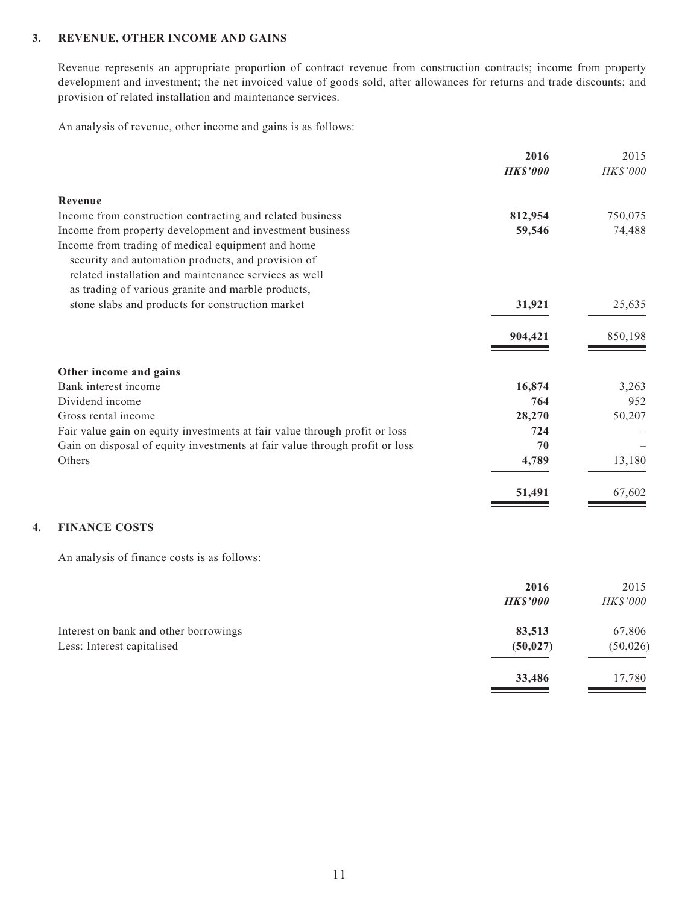#### **3. REVENUE, OTHER INCOME AND GAINS**

Revenue represents an appropriate proportion of contract revenue from construction contracts; income from property development and investment; the net invoiced value of goods sold, after allowances for returns and trade discounts; and provision of related installation and maintenance services.

An analysis of revenue, other income and gains is as follows:

|                                                                             | 2016<br><b>HK\$'000</b> | 2015<br><b>HK\$'000</b> |
|-----------------------------------------------------------------------------|-------------------------|-------------------------|
| Revenue                                                                     |                         |                         |
| Income from construction contracting and related business                   | 812,954                 | 750,075                 |
| Income from property development and investment business                    | 59,546                  | 74,488                  |
| Income from trading of medical equipment and home                           |                         |                         |
| security and automation products, and provision of                          |                         |                         |
| related installation and maintenance services as well                       |                         |                         |
| as trading of various granite and marble products,                          |                         |                         |
| stone slabs and products for construction market                            | 31,921                  | 25,635                  |
|                                                                             | 904,421                 | 850,198                 |
| Other income and gains                                                      |                         |                         |
| Bank interest income                                                        | 16,874                  | 3,263                   |
| Dividend income                                                             | 764                     | 952                     |
| Gross rental income                                                         | 28,270                  | 50,207                  |
| Fair value gain on equity investments at fair value through profit or loss  | 724                     |                         |
| Gain on disposal of equity investments at fair value through profit or loss | 70                      |                         |
| Others                                                                      | 4,789                   | 13,180                  |
|                                                                             | 51,491                  | 67,602                  |
| <b>FINANCE COSTS</b>                                                        |                         |                         |
|                                                                             |                         |                         |

An analysis of finance costs is as follows:

|                                                                     | 2016<br><b>HK\$'000</b> | 2015<br>HK\$'000    |
|---------------------------------------------------------------------|-------------------------|---------------------|
| Interest on bank and other borrowings<br>Less: Interest capitalised | 83,513<br>(50, 027)     | 67,806<br>(50, 026) |
|                                                                     | 33,486                  | 17,780              |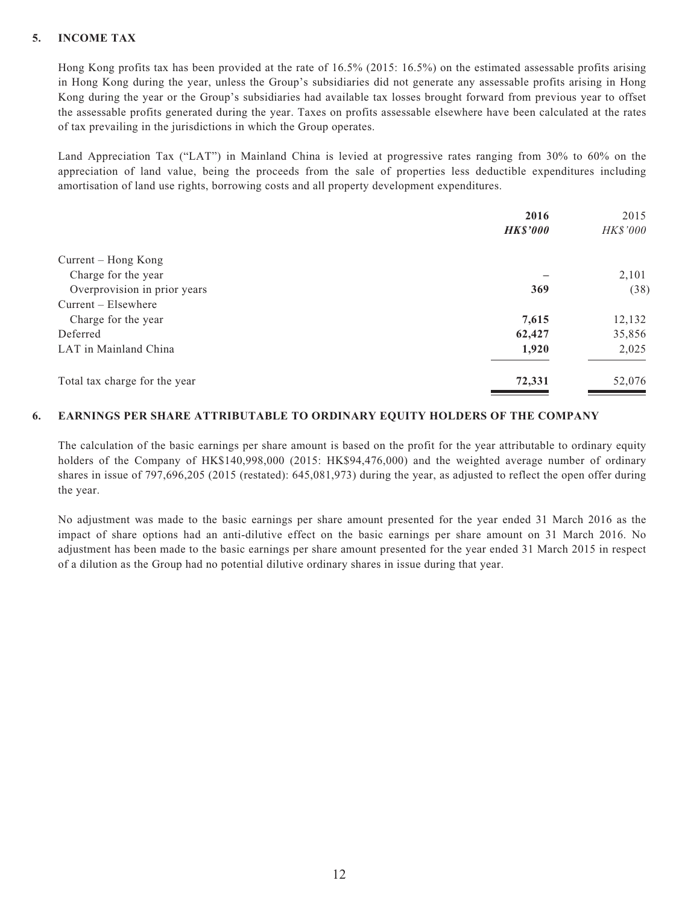#### **5. INCOME TAX**

Hong Kong profits tax has been provided at the rate of 16.5% (2015: 16.5%) on the estimated assessable profits arising in Hong Kong during the year, unless the Group's subsidiaries did not generate any assessable profits arising in Hong Kong during the year or the Group's subsidiaries had available tax losses brought forward from previous year to offset the assessable profits generated during the year. Taxes on profits assessable elsewhere have been calculated at the rates of tax prevailing in the jurisdictions in which the Group operates.

Land Appreciation Tax ("LAT") in Mainland China is levied at progressive rates ranging from 30% to 60% on the appreciation of land value, being the proceeds from the sale of properties less deductible expenditures including amortisation of land use rights, borrowing costs and all property development expenditures.

|                               | 2016            | 2015     |
|-------------------------------|-----------------|----------|
|                               | <b>HK\$'000</b> | HK\$'000 |
| Current – Hong Kong           |                 |          |
| Charge for the year           |                 | 2,101    |
| Overprovision in prior years  | 369             | (38)     |
| $Current - Elsewhere$         |                 |          |
| Charge for the year           | 7,615           | 12,132   |
| Deferred                      | 62,427          | 35,856   |
| LAT in Mainland China         | 1,920           | 2,025    |
| Total tax charge for the year | 72,331          | 52,076   |

#### **6. EARNINGS PER SHARE ATTRIBUTABLE TO ORDINARY EQUITY HOLDERS OF THE COMPANY**

The calculation of the basic earnings per share amount is based on the profit for the year attributable to ordinary equity holders of the Company of HK\$140,998,000 (2015: HK\$94,476,000) and the weighted average number of ordinary shares in issue of 797,696,205 (2015 (restated): 645,081,973) during the year, as adjusted to reflect the open offer during the year.

No adjustment was made to the basic earnings per share amount presented for the year ended 31 March 2016 as the impact of share options had an anti-dilutive effect on the basic earnings per share amount on 31 March 2016. No adjustment has been made to the basic earnings per share amount presented for the year ended 31 March 2015 in respect of a dilution as the Group had no potential dilutive ordinary shares in issue during that year.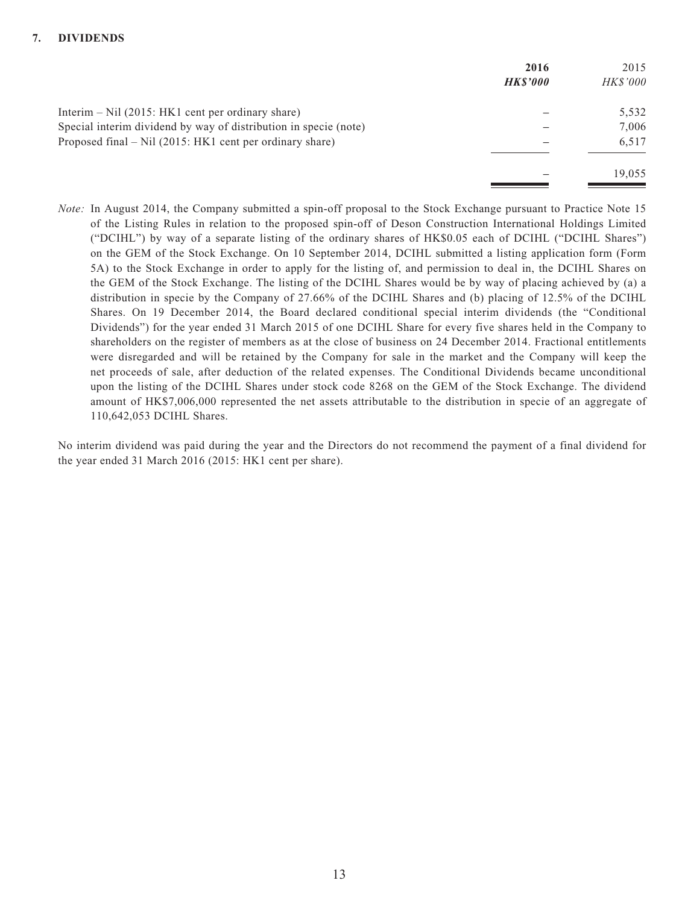|                                                                  | 2016           | 2015            |
|------------------------------------------------------------------|----------------|-----------------|
|                                                                  | <b>HKS'000</b> | <b>HK\$'000</b> |
| Interim $-$ Nil (2015: HK1 cent per ordinary share)              |                | 5,532           |
| Special interim dividend by way of distribution in specie (note) |                | 7,006           |
| Proposed final – Nil (2015: HK1 cent per ordinary share)         |                | 6,517           |
|                                                                  |                | 19.055          |

*Note:* In August 2014, the Company submitted a spin-off proposal to the Stock Exchange pursuant to Practice Note 15 of the Listing Rules in relation to the proposed spin-off of Deson Construction International Holdings Limited ("DCIHL") by way of a separate listing of the ordinary shares of HK\$0.05 each of DCIHL ("DCIHL Shares") on the GEM of the Stock Exchange. On 10 September 2014, DCIHL submitted a listing application form (Form 5A) to the Stock Exchange in order to apply for the listing of, and permission to deal in, the DCIHL Shares on the GEM of the Stock Exchange. The listing of the DCIHL Shares would be by way of placing achieved by (a) a distribution in specie by the Company of 27.66% of the DCIHL Shares and (b) placing of 12.5% of the DCIHL Shares. On 19 December 2014, the Board declared conditional special interim dividends (the "Conditional Dividends") for the year ended 31 March 2015 of one DCIHL Share for every five shares held in the Company to shareholders on the register of members as at the close of business on 24 December 2014. Fractional entitlements were disregarded and will be retained by the Company for sale in the market and the Company will keep the net proceeds of sale, after deduction of the related expenses. The Conditional Dividends became unconditional upon the listing of the DCIHL Shares under stock code 8268 on the GEM of the Stock Exchange. The dividend amount of HK\$7,006,000 represented the net assets attributable to the distribution in specie of an aggregate of 110,642,053 DCIHL Shares.

No interim dividend was paid during the year and the Directors do not recommend the payment of a final dividend for the year ended 31 March 2016 (2015: HK1 cent per share).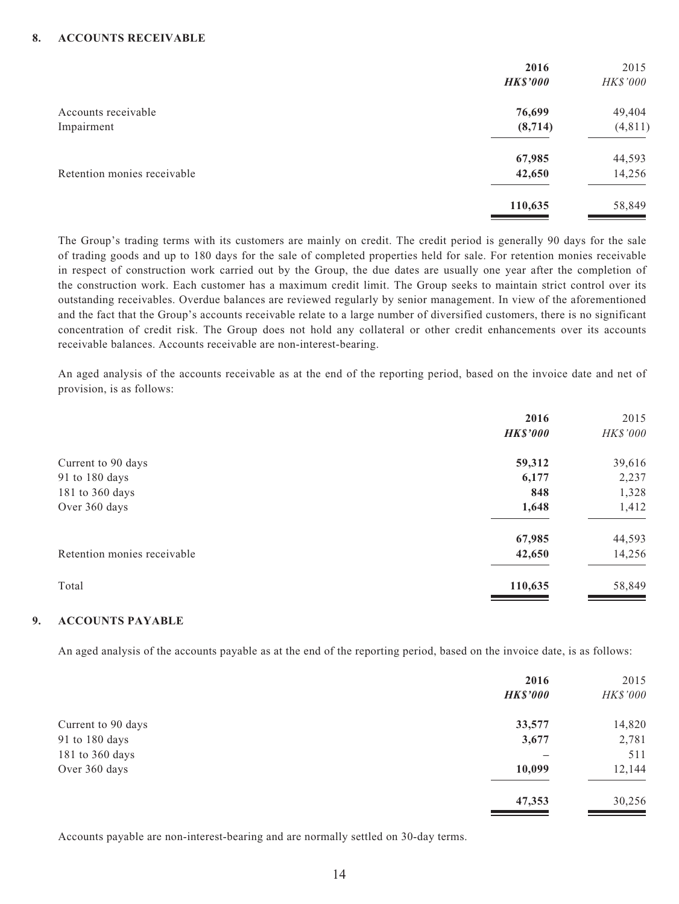|                             | 2016            | 2015     |
|-----------------------------|-----------------|----------|
|                             | <b>HK\$'000</b> | HK\$'000 |
| Accounts receivable         | 76,699          | 49,404   |
| Impairment                  | (8, 714)        | (4, 811) |
|                             | 67,985          | 44,593   |
| Retention monies receivable | 42,650          | 14,256   |
|                             | 110,635         | 58,849   |

The Group's trading terms with its customers are mainly on credit. The credit period is generally 90 days for the sale of trading goods and up to 180 days for the sale of completed properties held for sale. For retention monies receivable in respect of construction work carried out by the Group, the due dates are usually one year after the completion of the construction work. Each customer has a maximum credit limit. The Group seeks to maintain strict control over its outstanding receivables. Overdue balances are reviewed regularly by senior management. In view of the aforementioned and the fact that the Group's accounts receivable relate to a large number of diversified customers, there is no significant concentration of credit risk. The Group does not hold any collateral or other credit enhancements over its accounts receivable balances. Accounts receivable are non-interest-bearing.

An aged analysis of the accounts receivable as at the end of the reporting period, based on the invoice date and net of provision, is as follows:

|                             | 2016            | 2015     |
|-----------------------------|-----------------|----------|
|                             | <b>HK\$'000</b> | HK\$'000 |
| Current to 90 days          | 59,312          | 39,616   |
| 91 to 180 days              | 6,177           | 2,237    |
| 181 to 360 days             | 848             | 1,328    |
| Over 360 days               | 1,648           | 1,412    |
|                             | 67,985          | 44,593   |
| Retention monies receivable | 42,650          | 14,256   |
| Total                       | 110,635         | 58,849   |
|                             |                 |          |

#### **9. ACCOUNTS PAYABLE**

An aged analysis of the accounts payable as at the end of the reporting period, based on the invoice date, is as follows:

|                    | 2016<br><b>HK\$'000</b> | 2015<br>HK\$'000 |
|--------------------|-------------------------|------------------|
| Current to 90 days | 33,577                  | 14,820           |
| 91 to 180 days     | 3,677                   | 2,781            |
| 181 to 360 days    |                         | 511              |
| Over 360 days      | 10,099                  | 12,144           |
|                    | 47,353                  | 30,256           |

Accounts payable are non-interest-bearing and are normally settled on 30-day terms.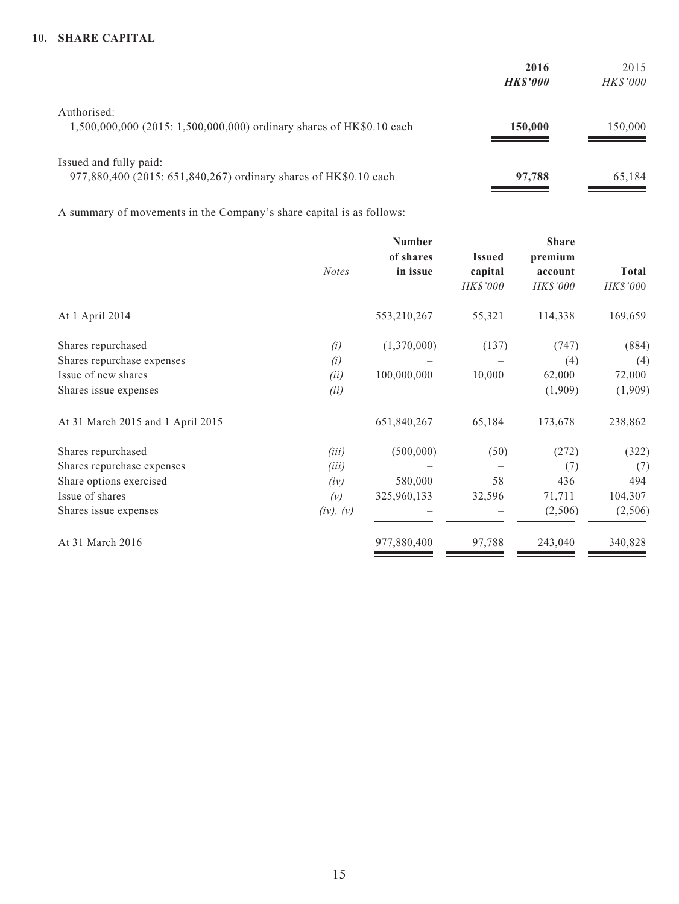#### **10. SHARE CAPITAL**

|                                                                      | 2016           | 2015            |
|----------------------------------------------------------------------|----------------|-----------------|
|                                                                      | <b>HKS'000</b> | <b>HK\$'000</b> |
| Authorised:                                                          |                |                 |
| 1,500,000,000 (2015: 1,500,000,000) ordinary shares of HK\$0.10 each | 150,000        | 150,000         |
|                                                                      |                |                 |
| Issued and fully paid:                                               |                |                 |
| 977,880,400 (2015: 651,840,267) ordinary shares of HK\$0.10 each     | 97,788         | 65,184          |

A summary of movements in the Company's share capital is as follows:

|                                   | <b>Number</b> |             |               | <b>Share</b> |              |  |
|-----------------------------------|---------------|-------------|---------------|--------------|--------------|--|
|                                   |               | of shares   | <b>Issued</b> | premium      |              |  |
|                                   | <b>Notes</b>  | in issue    | capital       | account      | <b>Total</b> |  |
|                                   |               |             | HK\$'000      | HK\$'000     | HK\$'000     |  |
| At 1 April 2014                   |               | 553,210,267 | 55,321        | 114,338      | 169,659      |  |
| Shares repurchased                | (i)           | (1,370,000) | (137)         | (747)        | (884)        |  |
| Shares repurchase expenses        | (i)           |             |               | (4)          | (4)          |  |
| Issue of new shares               | (ii)          | 100,000,000 | 10,000        | 62,000       | 72,000       |  |
| Shares issue expenses             | (ii)          |             |               | (1,909)      | (1,909)      |  |
| At 31 March 2015 and 1 April 2015 |               | 651,840,267 | 65,184        | 173,678      | 238,862      |  |
| Shares repurchased                | (iii)         | (500,000)   | (50)          | (272)        | (322)        |  |
| Shares repurchase expenses        | (iii)         |             |               | (7)          | (7)          |  |
| Share options exercised           | (iv)          | 580,000     | 58            | 436          | 494          |  |
| Issue of shares                   | (v)           | 325,960,133 | 32,596        | 71,711       | 104,307      |  |
| Shares issue expenses             | (iv), (v)     |             |               | (2,506)      | (2,506)      |  |
| At 31 March 2016                  |               | 977,880,400 | 97,788        | 243,040      | 340,828      |  |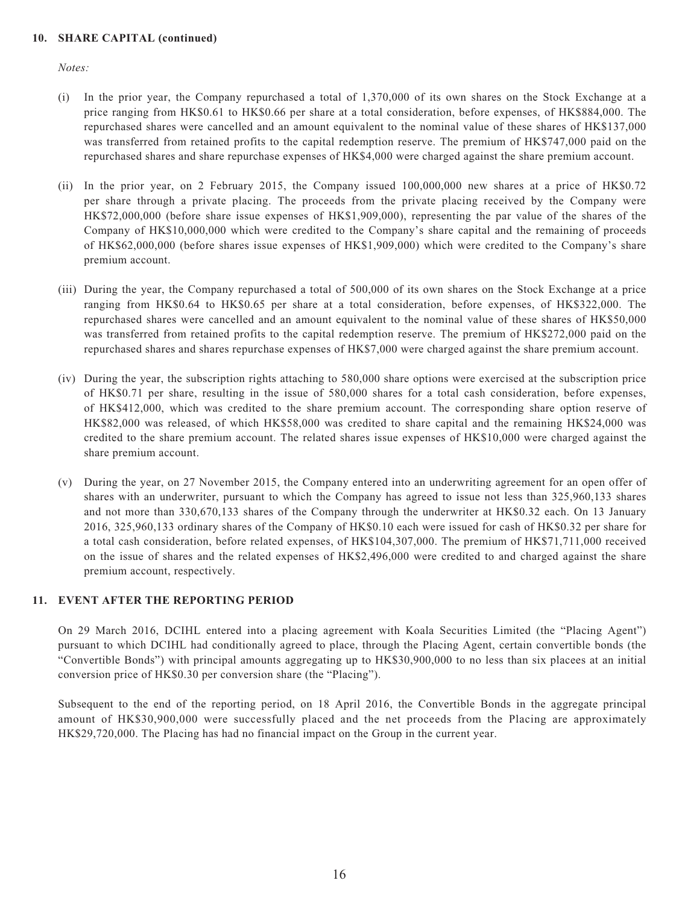#### **10. SHARE CAPITAL (continued)**

*Notes:*

- (i) In the prior year, the Company repurchased a total of 1,370,000 of its own shares on the Stock Exchange at a price ranging from HK\$0.61 to HK\$0.66 per share at a total consideration, before expenses, of HK\$884,000. The repurchased shares were cancelled and an amount equivalent to the nominal value of these shares of HK\$137,000 was transferred from retained profits to the capital redemption reserve. The premium of HK\$747,000 paid on the repurchased shares and share repurchase expenses of HK\$4,000 were charged against the share premium account.
- (ii) In the prior year, on 2 February 2015, the Company issued 100,000,000 new shares at a price of HK\$0.72 per share through a private placing. The proceeds from the private placing received by the Company were HK\$72,000,000 (before share issue expenses of HK\$1,909,000), representing the par value of the shares of the Company of HK\$10,000,000 which were credited to the Company's share capital and the remaining of proceeds of HK\$62,000,000 (before shares issue expenses of HK\$1,909,000) which were credited to the Company's share premium account.
- (iii) During the year, the Company repurchased a total of 500,000 of its own shares on the Stock Exchange at a price ranging from HK\$0.64 to HK\$0.65 per share at a total consideration, before expenses, of HK\$322,000. The repurchased shares were cancelled and an amount equivalent to the nominal value of these shares of HK\$50,000 was transferred from retained profits to the capital redemption reserve. The premium of HK\$272,000 paid on the repurchased shares and shares repurchase expenses of HK\$7,000 were charged against the share premium account.
- (iv) During the year, the subscription rights attaching to 580,000 share options were exercised at the subscription price of HK\$0.71 per share, resulting in the issue of 580,000 shares for a total cash consideration, before expenses, of HK\$412,000, which was credited to the share premium account. The corresponding share option reserve of HK\$82,000 was released, of which HK\$58,000 was credited to share capital and the remaining HK\$24,000 was credited to the share premium account. The related shares issue expenses of HK\$10,000 were charged against the share premium account.
- (v) During the year, on 27 November 2015, the Company entered into an underwriting agreement for an open offer of shares with an underwriter, pursuant to which the Company has agreed to issue not less than 325,960,133 shares and not more than 330,670,133 shares of the Company through the underwriter at HK\$0.32 each. On 13 January 2016, 325,960,133 ordinary shares of the Company of HK\$0.10 each were issued for cash of HK\$0.32 per share for a total cash consideration, before related expenses, of HK\$104,307,000. The premium of HK\$71,711,000 received on the issue of shares and the related expenses of HK\$2,496,000 were credited to and charged against the share premium account, respectively.

#### **11. EVENT AFTER THE REPORTING PERIOD**

On 29 March 2016, DCIHL entered into a placing agreement with Koala Securities Limited (the "Placing Agent") pursuant to which DCIHL had conditionally agreed to place, through the Placing Agent, certain convertible bonds (the "Convertible Bonds") with principal amounts aggregating up to HK\$30,900,000 to no less than six placees at an initial conversion price of HK\$0.30 per conversion share (the "Placing").

Subsequent to the end of the reporting period, on 18 April 2016, the Convertible Bonds in the aggregate principal amount of HK\$30,900,000 were successfully placed and the net proceeds from the Placing are approximately HK\$29,720,000. The Placing has had no financial impact on the Group in the current year.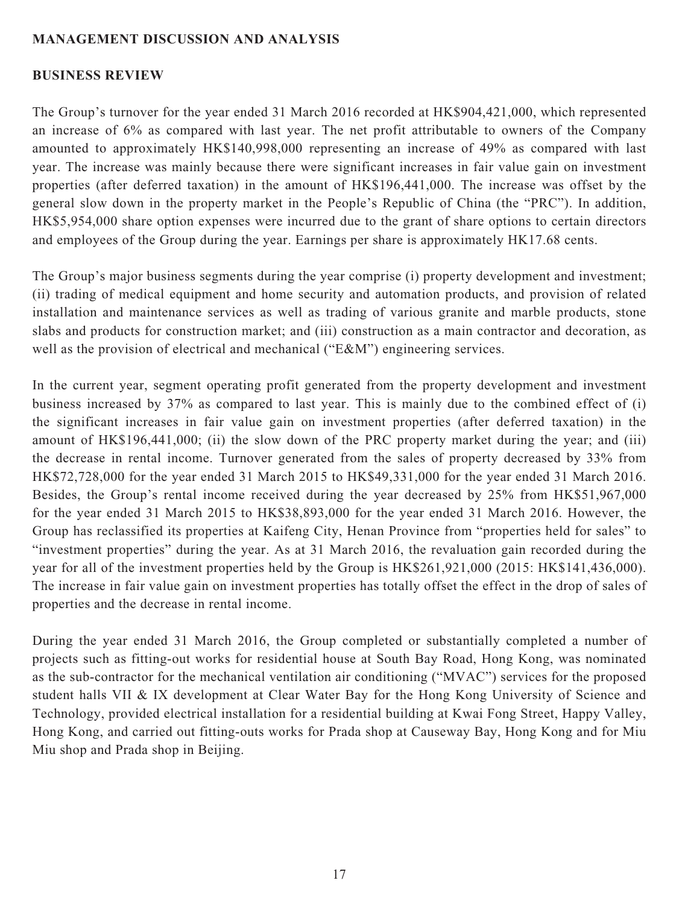### **MANAGEMENT DISCUSSION AND ANALYSIS**

#### **BUSINESS REVIEW**

The Group's turnover for the year ended 31 March 2016 recorded at HK\$904,421,000, which represented an increase of 6% as compared with last year. The net profit attributable to owners of the Company amounted to approximately HK\$140,998,000 representing an increase of 49% as compared with last year. The increase was mainly because there were significant increases in fair value gain on investment properties (after deferred taxation) in the amount of HK\$196,441,000. The increase was offset by the general slow down in the property market in the People's Republic of China (the "PRC"). In addition, HK\$5,954,000 share option expenses were incurred due to the grant of share options to certain directors and employees of the Group during the year. Earnings per share is approximately HK17.68 cents.

The Group's major business segments during the year comprise (i) property development and investment; (ii) trading of medical equipment and home security and automation products, and provision of related installation and maintenance services as well as trading of various granite and marble products, stone slabs and products for construction market; and (iii) construction as a main contractor and decoration, as well as the provision of electrical and mechanical ("E&M") engineering services.

In the current year, segment operating profit generated from the property development and investment business increased by 37% as compared to last year. This is mainly due to the combined effect of (i) the significant increases in fair value gain on investment properties (after deferred taxation) in the amount of HK\$196,441,000; (ii) the slow down of the PRC property market during the year; and (iii) the decrease in rental income. Turnover generated from the sales of property decreased by 33% from HK\$72,728,000 for the year ended 31 March 2015 to HK\$49,331,000 for the year ended 31 March 2016. Besides, the Group's rental income received during the year decreased by 25% from HK\$51,967,000 for the year ended 31 March 2015 to HK\$38,893,000 for the year ended 31 March 2016. However, the Group has reclassified its properties at Kaifeng City, Henan Province from "properties held for sales" to "investment properties" during the year. As at 31 March 2016, the revaluation gain recorded during the year for all of the investment properties held by the Group is HK\$261,921,000 (2015: HK\$141,436,000). The increase in fair value gain on investment properties has totally offset the effect in the drop of sales of properties and the decrease in rental income.

During the year ended 31 March 2016, the Group completed or substantially completed a number of projects such as fitting-out works for residential house at South Bay Road, Hong Kong, was nominated as the sub-contractor for the mechanical ventilation air conditioning ("MVAC") services for the proposed student halls VII & IX development at Clear Water Bay for the Hong Kong University of Science and Technology, provided electrical installation for a residential building at Kwai Fong Street, Happy Valley, Hong Kong, and carried out fitting-outs works for Prada shop at Causeway Bay, Hong Kong and for Miu Miu shop and Prada shop in Beijing.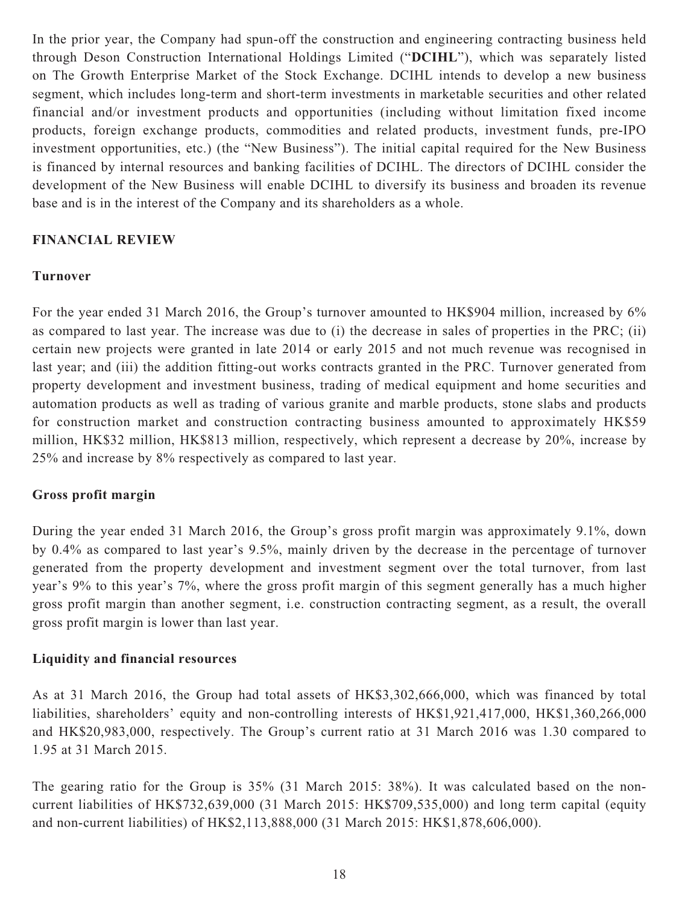In the prior year, the Company had spun-off the construction and engineering contracting business held through Deson Construction International Holdings Limited ("**DCIHL**"), which was separately listed on The Growth Enterprise Market of the Stock Exchange. DCIHL intends to develop a new business segment, which includes long-term and short-term investments in marketable securities and other related financial and/or investment products and opportunities (including without limitation fixed income products, foreign exchange products, commodities and related products, investment funds, pre-IPO investment opportunities, etc.) (the "New Business"). The initial capital required for the New Business is financed by internal resources and banking facilities of DCIHL. The directors of DCIHL consider the development of the New Business will enable DCIHL to diversify its business and broaden its revenue base and is in the interest of the Company and its shareholders as a whole.

#### **FINANCIAL REVIEW**

#### **Turnover**

For the year ended 31 March 2016, the Group's turnover amounted to HK\$904 million, increased by 6% as compared to last year. The increase was due to (i) the decrease in sales of properties in the PRC; (ii) certain new projects were granted in late 2014 or early 2015 and not much revenue was recognised in last year; and (iii) the addition fitting-out works contracts granted in the PRC. Turnover generated from property development and investment business, trading of medical equipment and home securities and automation products as well as trading of various granite and marble products, stone slabs and products for construction market and construction contracting business amounted to approximately HK\$59 million, HK\$32 million, HK\$813 million, respectively, which represent a decrease by 20%, increase by 25% and increase by 8% respectively as compared to last year.

#### **Gross profit margin**

During the year ended 31 March 2016, the Group's gross profit margin was approximately 9.1%, down by 0.4% as compared to last year's 9.5%, mainly driven by the decrease in the percentage of turnover generated from the property development and investment segment over the total turnover, from last year's 9% to this year's 7%, where the gross profit margin of this segment generally has a much higher gross profit margin than another segment, i.e. construction contracting segment, as a result, the overall gross profit margin is lower than last year.

### **Liquidity and financial resources**

As at 31 March 2016, the Group had total assets of HK\$3,302,666,000, which was financed by total liabilities, shareholders' equity and non-controlling interests of HK\$1,921,417,000, HK\$1,360,266,000 and HK\$20,983,000, respectively. The Group's current ratio at 31 March 2016 was 1.30 compared to 1.95 at 31 March 2015.

The gearing ratio for the Group is 35% (31 March 2015: 38%). It was calculated based on the noncurrent liabilities of HK\$732,639,000 (31 March 2015: HK\$709,535,000) and long term capital (equity and non-current liabilities) of HK\$2,113,888,000 (31 March 2015: HK\$1,878,606,000).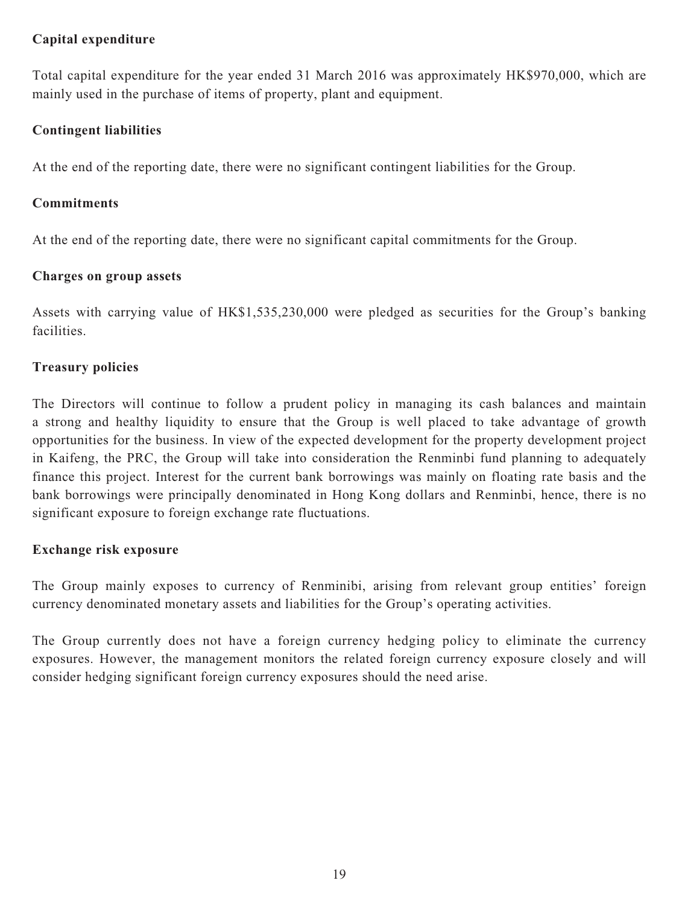## **Capital expenditure**

Total capital expenditure for the year ended 31 March 2016 was approximately HK\$970,000, which are mainly used in the purchase of items of property, plant and equipment.

## **Contingent liabilities**

At the end of the reporting date, there were no significant contingent liabilities for the Group.

## **Commitments**

At the end of the reporting date, there were no significant capital commitments for the Group.

## **Charges on group assets**

Assets with carrying value of HK\$1,535,230,000 were pledged as securities for the Group's banking facilities.

## **Treasury policies**

The Directors will continue to follow a prudent policy in managing its cash balances and maintain a strong and healthy liquidity to ensure that the Group is well placed to take advantage of growth opportunities for the business. In view of the expected development for the property development project in Kaifeng, the PRC, the Group will take into consideration the Renminbi fund planning to adequately finance this project. Interest for the current bank borrowings was mainly on floating rate basis and the bank borrowings were principally denominated in Hong Kong dollars and Renminbi, hence, there is no significant exposure to foreign exchange rate fluctuations.

## **Exchange risk exposure**

The Group mainly exposes to currency of Renminibi, arising from relevant group entities' foreign currency denominated monetary assets and liabilities for the Group's operating activities.

The Group currently does not have a foreign currency hedging policy to eliminate the currency exposures. However, the management monitors the related foreign currency exposure closely and will consider hedging significant foreign currency exposures should the need arise.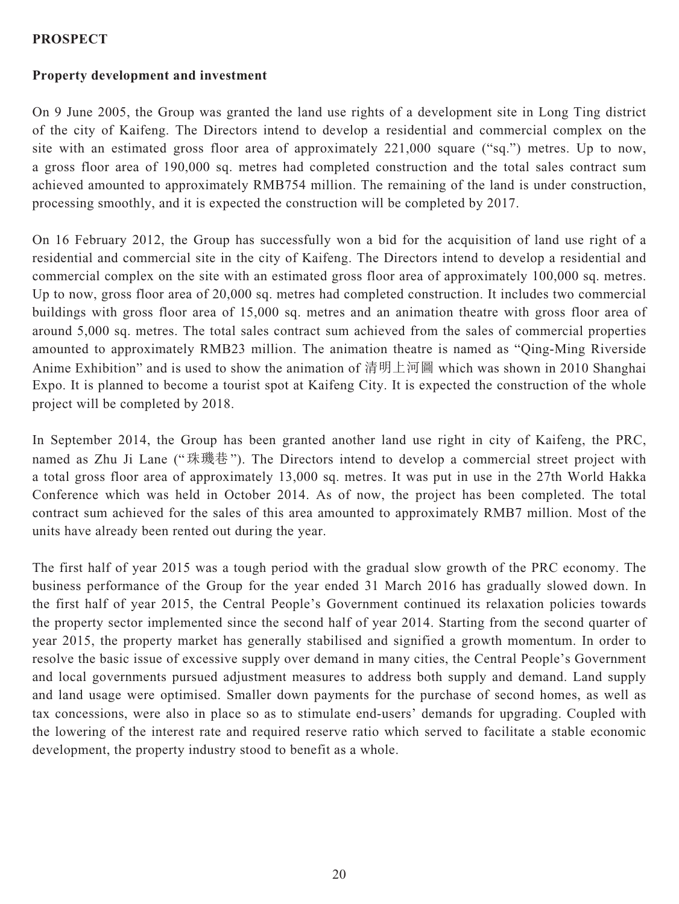### **PROSPECT**

## **Property development and investment**

On 9 June 2005, the Group was granted the land use rights of a development site in Long Ting district of the city of Kaifeng. The Directors intend to develop a residential and commercial complex on the site with an estimated gross floor area of approximately 221,000 square ("sq.") metres. Up to now, a gross floor area of 190,000 sq. metres had completed construction and the total sales contract sum achieved amounted to approximately RMB754 million. The remaining of the land is under construction, processing smoothly, and it is expected the construction will be completed by 2017.

On 16 February 2012, the Group has successfully won a bid for the acquisition of land use right of a residential and commercial site in the city of Kaifeng. The Directors intend to develop a residential and commercial complex on the site with an estimated gross floor area of approximately 100,000 sq. metres. Up to now, gross floor area of 20,000 sq. metres had completed construction. It includes two commercial buildings with gross floor area of 15,000 sq. metres and an animation theatre with gross floor area of around 5,000 sq. metres. The total sales contract sum achieved from the sales of commercial properties amounted to approximately RMB23 million. The animation theatre is named as "Qing-Ming Riverside Anime Exhibition" and is used to show the animation of 清明上河圖 which was shown in 2010 Shanghai Expo. It is planned to become a tourist spot at Kaifeng City. It is expected the construction of the whole project will be completed by 2018.

In September 2014, the Group has been granted another land use right in city of Kaifeng, the PRC, named as Zhu Ji Lane ("珠璣巷"). The Directors intend to develop a commercial street project with a total gross floor area of approximately 13,000 sq. metres. It was put in use in the 27th World Hakka Conference which was held in October 2014. As of now, the project has been completed. The total contract sum achieved for the sales of this area amounted to approximately RMB7 million. Most of the units have already been rented out during the year.

The first half of year 2015 was a tough period with the gradual slow growth of the PRC economy. The business performance of the Group for the year ended 31 March 2016 has gradually slowed down. In the first half of year 2015, the Central People's Government continued its relaxation policies towards the property sector implemented since the second half of year 2014. Starting from the second quarter of year 2015, the property market has generally stabilised and signified a growth momentum. In order to resolve the basic issue of excessive supply over demand in many cities, the Central People's Government and local governments pursued adjustment measures to address both supply and demand. Land supply and land usage were optimised. Smaller down payments for the purchase of second homes, as well as tax concessions, were also in place so as to stimulate end-users' demands for upgrading. Coupled with the lowering of the interest rate and required reserve ratio which served to facilitate a stable economic development, the property industry stood to benefit as a whole.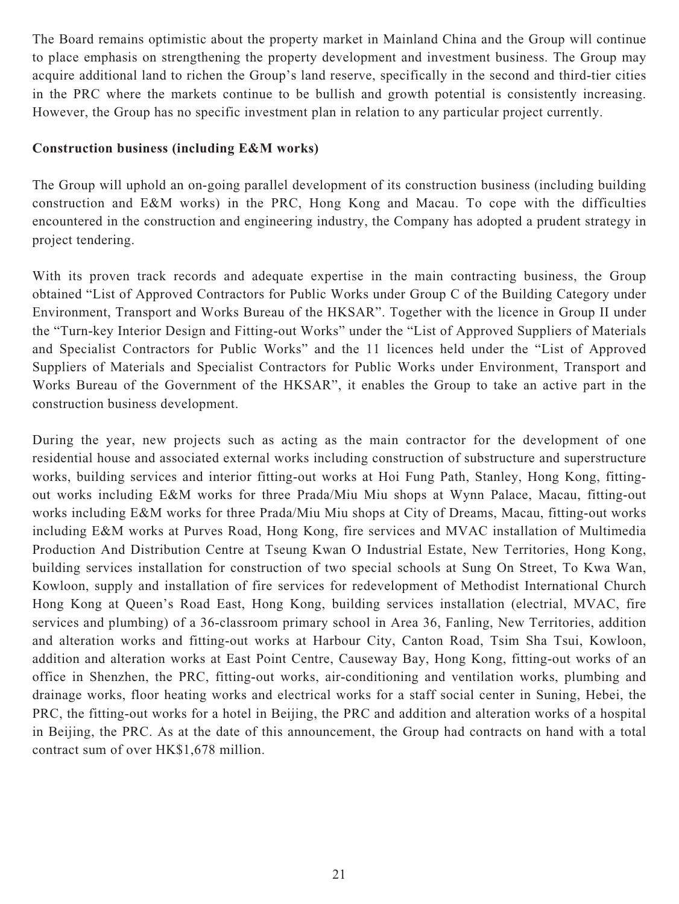The Board remains optimistic about the property market in Mainland China and the Group will continue to place emphasis on strengthening the property development and investment business. The Group may acquire additional land to richen the Group's land reserve, specifically in the second and third-tier cities in the PRC where the markets continue to be bullish and growth potential is consistently increasing. However, the Group has no specific investment plan in relation to any particular project currently.

### **Construction business (including E&M works)**

The Group will uphold an on-going parallel development of its construction business (including building construction and E&M works) in the PRC, Hong Kong and Macau. To cope with the difficulties encountered in the construction and engineering industry, the Company has adopted a prudent strategy in project tendering.

With its proven track records and adequate expertise in the main contracting business, the Group obtained "List of Approved Contractors for Public Works under Group C of the Building Category under Environment, Transport and Works Bureau of the HKSAR". Together with the licence in Group II under the "Turn-key Interior Design and Fitting-out Works" under the "List of Approved Suppliers of Materials and Specialist Contractors for Public Works" and the 11 licences held under the "List of Approved Suppliers of Materials and Specialist Contractors for Public Works under Environment, Transport and Works Bureau of the Government of the HKSAR", it enables the Group to take an active part in the construction business development.

During the year, new projects such as acting as the main contractor for the development of one residential house and associated external works including construction of substructure and superstructure works, building services and interior fitting-out works at Hoi Fung Path, Stanley, Hong Kong, fittingout works including E&M works for three Prada/Miu Miu shops at Wynn Palace, Macau, fitting-out works including E&M works for three Prada/Miu Miu shops at City of Dreams, Macau, fitting-out works including E&M works at Purves Road, Hong Kong, fire services and MVAC installation of Multimedia Production And Distribution Centre at Tseung Kwan O Industrial Estate, New Territories, Hong Kong, building services installation for construction of two special schools at Sung On Street, To Kwa Wan, Kowloon, supply and installation of fire services for redevelopment of Methodist International Church Hong Kong at Queen's Road East, Hong Kong, building services installation (electrial, MVAC, fire services and plumbing) of a 36-classroom primary school in Area 36, Fanling, New Territories, addition and alteration works and fitting-out works at Harbour City, Canton Road, Tsim Sha Tsui, Kowloon, addition and alteration works at East Point Centre, Causeway Bay, Hong Kong, fitting-out works of an office in Shenzhen, the PRC, fitting-out works, air-conditioning and ventilation works, plumbing and drainage works, floor heating works and electrical works for a staff social center in Suning, Hebei, the PRC, the fitting-out works for a hotel in Beijing, the PRC and addition and alteration works of a hospital in Beijing, the PRC. As at the date of this announcement, the Group had contracts on hand with a total contract sum of over HK\$1,678 million.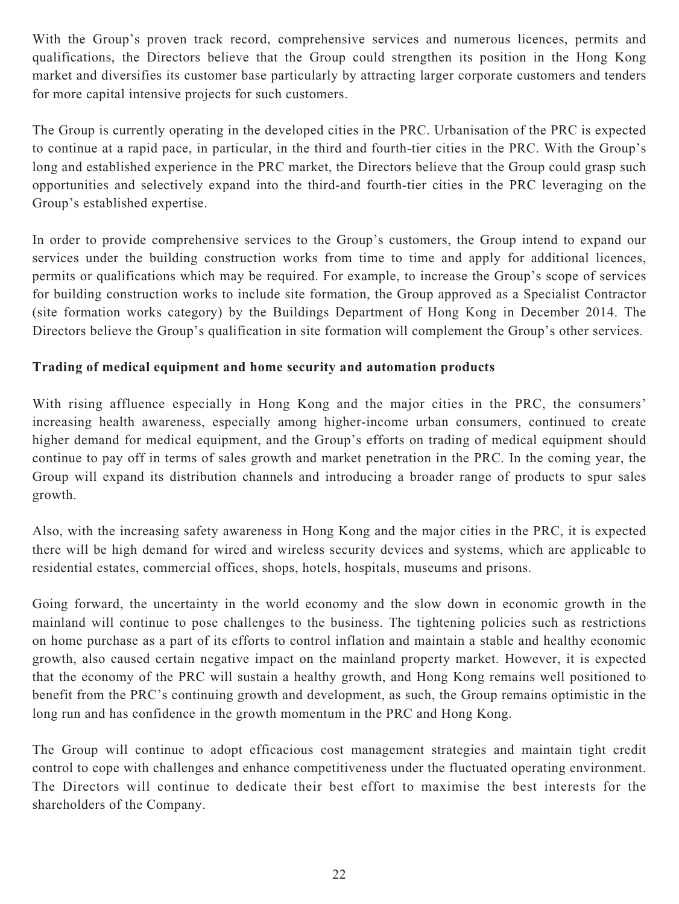With the Group's proven track record, comprehensive services and numerous licences, permits and qualifications, the Directors believe that the Group could strengthen its position in the Hong Kong market and diversifies its customer base particularly by attracting larger corporate customers and tenders for more capital intensive projects for such customers.

The Group is currently operating in the developed cities in the PRC. Urbanisation of the PRC is expected to continue at a rapid pace, in particular, in the third and fourth-tier cities in the PRC. With the Group's long and established experience in the PRC market, the Directors believe that the Group could grasp such opportunities and selectively expand into the third-and fourth-tier cities in the PRC leveraging on the Group's established expertise.

In order to provide comprehensive services to the Group's customers, the Group intend to expand our services under the building construction works from time to time and apply for additional licences, permits or qualifications which may be required. For example, to increase the Group's scope of services for building construction works to include site formation, the Group approved as a Specialist Contractor (site formation works category) by the Buildings Department of Hong Kong in December 2014. The Directors believe the Group's qualification in site formation will complement the Group's other services.

## **Trading of medical equipment and home security and automation products**

With rising affluence especially in Hong Kong and the major cities in the PRC, the consumers' increasing health awareness, especially among higher-income urban consumers, continued to create higher demand for medical equipment, and the Group's efforts on trading of medical equipment should continue to pay off in terms of sales growth and market penetration in the PRC. In the coming year, the Group will expand its distribution channels and introducing a broader range of products to spur sales growth.

Also, with the increasing safety awareness in Hong Kong and the major cities in the PRC, it is expected there will be high demand for wired and wireless security devices and systems, which are applicable to residential estates, commercial offices, shops, hotels, hospitals, museums and prisons.

Going forward, the uncertainty in the world economy and the slow down in economic growth in the mainland will continue to pose challenges to the business. The tightening policies such as restrictions on home purchase as a part of its efforts to control inflation and maintain a stable and healthy economic growth, also caused certain negative impact on the mainland property market. However, it is expected that the economy of the PRC will sustain a healthy growth, and Hong Kong remains well positioned to benefit from the PRC's continuing growth and development, as such, the Group remains optimistic in the long run and has confidence in the growth momentum in the PRC and Hong Kong.

The Group will continue to adopt efficacious cost management strategies and maintain tight credit control to cope with challenges and enhance competitiveness under the fluctuated operating environment. The Directors will continue to dedicate their best effort to maximise the best interests for the shareholders of the Company.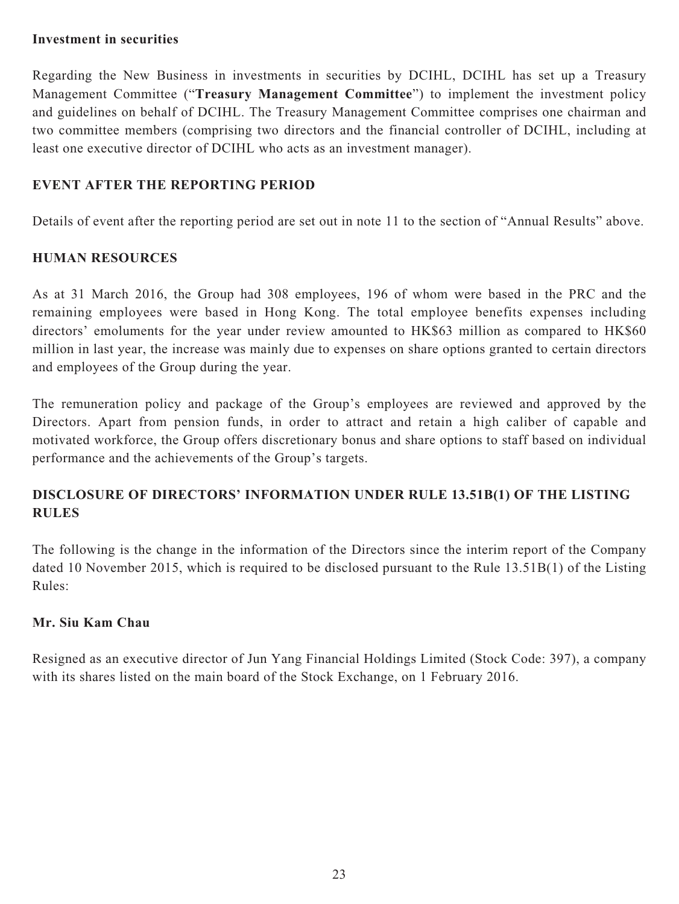#### **Investment in securities**

Regarding the New Business in investments in securities by DCIHL, DCIHL has set up a Treasury Management Committee ("**Treasury Management Committee**") to implement the investment policy and guidelines on behalf of DCIHL. The Treasury Management Committee comprises one chairman and two committee members (comprising two directors and the financial controller of DCIHL, including at least one executive director of DCIHL who acts as an investment manager).

## **EVENT AFTER THE REPORTING PERIOD**

Details of event after the reporting period are set out in note 11 to the section of "Annual Results" above.

## **HUMAN RESOURCES**

As at 31 March 2016, the Group had 308 employees, 196 of whom were based in the PRC and the remaining employees were based in Hong Kong. The total employee benefits expenses including directors' emoluments for the year under review amounted to HK\$63 million as compared to HK\$60 million in last year, the increase was mainly due to expenses on share options granted to certain directors and employees of the Group during the year.

The remuneration policy and package of the Group's employees are reviewed and approved by the Directors. Apart from pension funds, in order to attract and retain a high caliber of capable and motivated workforce, the Group offers discretionary bonus and share options to staff based on individual performance and the achievements of the Group's targets.

## **DISCLOSURE OF DIRECTORS' INFORMATION UNDER RULE 13.51B(1) OF THE LISTING RULES**

The following is the change in the information of the Directors since the interim report of the Company dated 10 November 2015, which is required to be disclosed pursuant to the Rule 13.51B(1) of the Listing Rules:

### **Mr. Siu Kam Chau**

Resigned as an executive director of Jun Yang Financial Holdings Limited (Stock Code: 397), a company with its shares listed on the main board of the Stock Exchange, on 1 February 2016.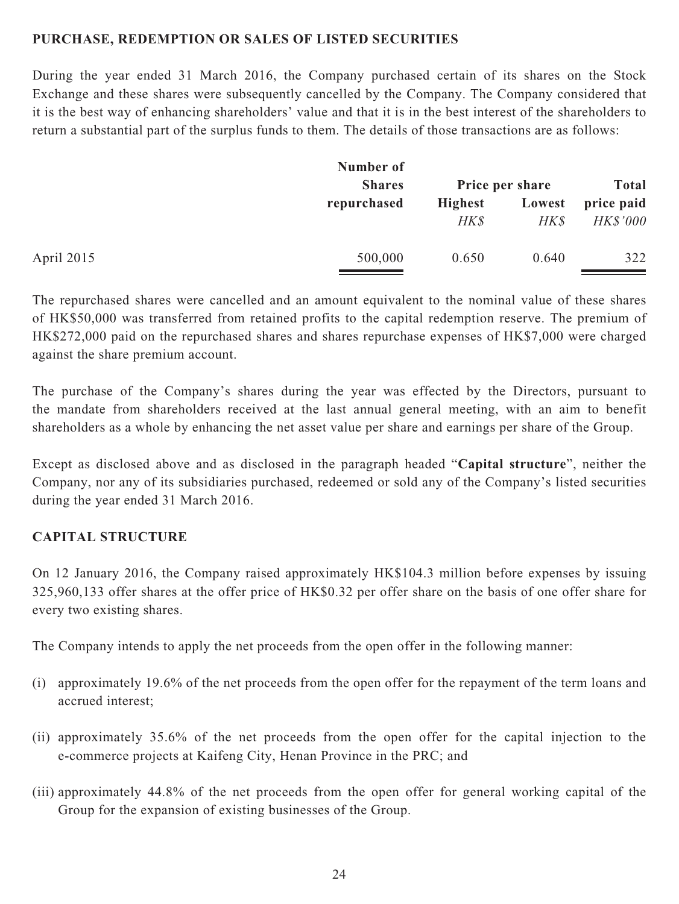### **PURCHASE, REDEMPTION OR SALES OF LISTED SECURITIES**

During the year ended 31 March 2016, the Company purchased certain of its shares on the Stock Exchange and these shares were subsequently cancelled by the Company. The Company considered that it is the best way of enhancing shareholders' value and that it is in the best interest of the shareholders to return a substantial part of the surplus funds to them. The details of those transactions are as follows:

| Number of     |                |        |                 |
|---------------|----------------|--------|-----------------|
| <b>Shares</b> |                |        | <b>Total</b>    |
| repurchased   | <b>Highest</b> | Lowest | price paid      |
|               | HK\$           | HK\$   | <b>HK\$'000</b> |
| 500,000       | 0.650          | 0.640  | 322             |
|               |                |        | Price per share |

The repurchased shares were cancelled and an amount equivalent to the nominal value of these shares of HK\$50,000 was transferred from retained profits to the capital redemption reserve. The premium of HK\$272,000 paid on the repurchased shares and shares repurchase expenses of HK\$7,000 were charged against the share premium account.

The purchase of the Company's shares during the year was effected by the Directors, pursuant to the mandate from shareholders received at the last annual general meeting, with an aim to benefit shareholders as a whole by enhancing the net asset value per share and earnings per share of the Group.

Except as disclosed above and as disclosed in the paragraph headed "**Capital structure**", neither the Company, nor any of its subsidiaries purchased, redeemed or sold any of the Company's listed securities during the year ended 31 March 2016.

### **CAPITAL STRUCTURE**

On 12 January 2016, the Company raised approximately HK\$104.3 million before expenses by issuing 325,960,133 offer shares at the offer price of HK\$0.32 per offer share on the basis of one offer share for every two existing shares.

The Company intends to apply the net proceeds from the open offer in the following manner:

- (i) approximately 19.6% of the net proceeds from the open offer for the repayment of the term loans and accrued interest;
- (ii) approximately 35.6% of the net proceeds from the open offer for the capital injection to the e-commerce projects at Kaifeng City, Henan Province in the PRC; and
- (iii) approximately 44.8% of the net proceeds from the open offer for general working capital of the Group for the expansion of existing businesses of the Group.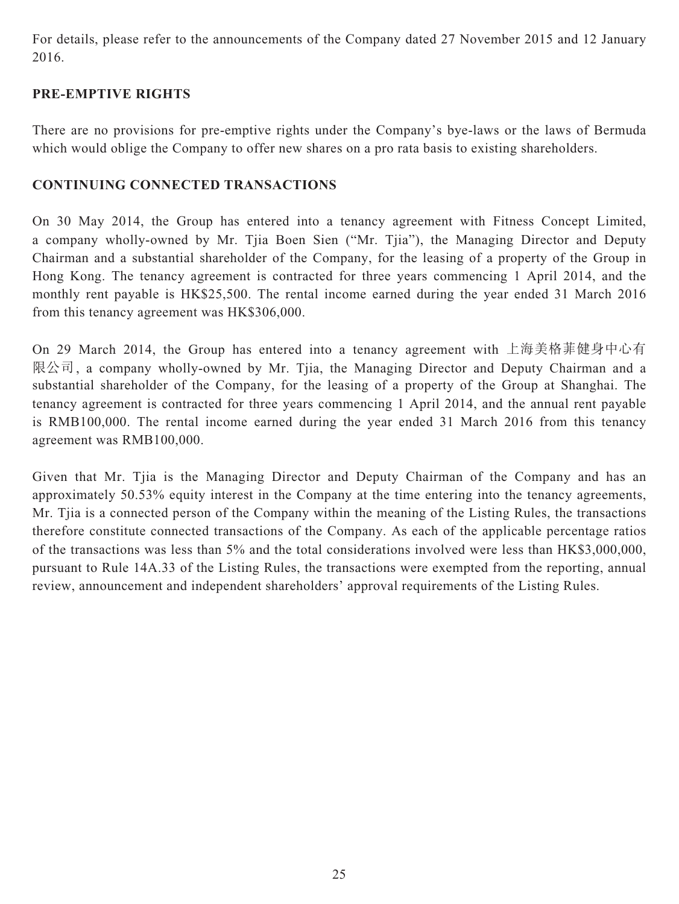For details, please refer to the announcements of the Company dated 27 November 2015 and 12 January 2016.

## **PRE-EMPTIVE RIGHTS**

There are no provisions for pre-emptive rights under the Company's bye-laws or the laws of Bermuda which would oblige the Company to offer new shares on a pro rata basis to existing shareholders.

### **CONTINUING CONNECTED TRANSACTIONS**

On 30 May 2014, the Group has entered into a tenancy agreement with Fitness Concept Limited, a company wholly-owned by Mr. Tjia Boen Sien ("Mr. Tjia"), the Managing Director and Deputy Chairman and a substantial shareholder of the Company, for the leasing of a property of the Group in Hong Kong. The tenancy agreement is contracted for three years commencing 1 April 2014, and the monthly rent payable is HK\$25,500. The rental income earned during the year ended 31 March 2016 from this tenancy agreement was HK\$306,000.

On 29 March 2014, the Group has entered into a tenancy agreement with 上海美格菲健身中心有 限公司, a company wholly-owned by Mr. Tjia, the Managing Director and Deputy Chairman and a substantial shareholder of the Company, for the leasing of a property of the Group at Shanghai. The tenancy agreement is contracted for three years commencing 1 April 2014, and the annual rent payable is RMB100,000. The rental income earned during the year ended 31 March 2016 from this tenancy agreement was RMB100,000.

Given that Mr. Tjia is the Managing Director and Deputy Chairman of the Company and has an approximately 50.53% equity interest in the Company at the time entering into the tenancy agreements, Mr. Tjia is a connected person of the Company within the meaning of the Listing Rules, the transactions therefore constitute connected transactions of the Company. As each of the applicable percentage ratios of the transactions was less than 5% and the total considerations involved were less than HK\$3,000,000, pursuant to Rule 14A.33 of the Listing Rules, the transactions were exempted from the reporting, annual review, announcement and independent shareholders' approval requirements of the Listing Rules.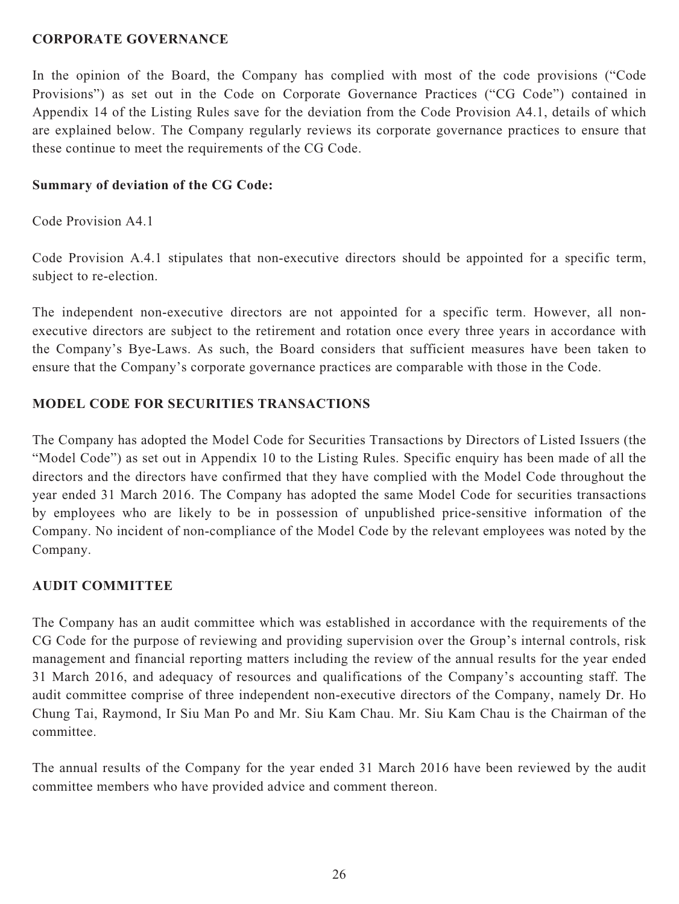#### **CORPORATE GOVERNANCE**

In the opinion of the Board, the Company has complied with most of the code provisions ("Code Provisions") as set out in the Code on Corporate Governance Practices ("CG Code") contained in Appendix 14 of the Listing Rules save for the deviation from the Code Provision A4.1, details of which are explained below. The Company regularly reviews its corporate governance practices to ensure that these continue to meet the requirements of the CG Code.

#### **Summary of deviation of the CG Code:**

Code Provision A4.1

Code Provision A.4.1 stipulates that non-executive directors should be appointed for a specific term, subject to re-election.

The independent non-executive directors are not appointed for a specific term. However, all nonexecutive directors are subject to the retirement and rotation once every three years in accordance with the Company's Bye-Laws. As such, the Board considers that sufficient measures have been taken to ensure that the Company's corporate governance practices are comparable with those in the Code.

### **MODEL CODE FOR SECURITIES TRANSACTIONS**

The Company has adopted the Model Code for Securities Transactions by Directors of Listed Issuers (the "Model Code") as set out in Appendix 10 to the Listing Rules. Specific enquiry has been made of all the directors and the directors have confirmed that they have complied with the Model Code throughout the year ended 31 March 2016. The Company has adopted the same Model Code for securities transactions by employees who are likely to be in possession of unpublished price-sensitive information of the Company. No incident of non-compliance of the Model Code by the relevant employees was noted by the Company.

### **AUDIT COMMITTEE**

The Company has an audit committee which was established in accordance with the requirements of the CG Code for the purpose of reviewing and providing supervision over the Group's internal controls, risk management and financial reporting matters including the review of the annual results for the year ended 31 March 2016, and adequacy of resources and qualifications of the Company's accounting staff. The audit committee comprise of three independent non-executive directors of the Company, namely Dr. Ho Chung Tai, Raymond, Ir Siu Man Po and Mr. Siu Kam Chau. Mr. Siu Kam Chau is the Chairman of the committee.

The annual results of the Company for the year ended 31 March 2016 have been reviewed by the audit committee members who have provided advice and comment thereon.